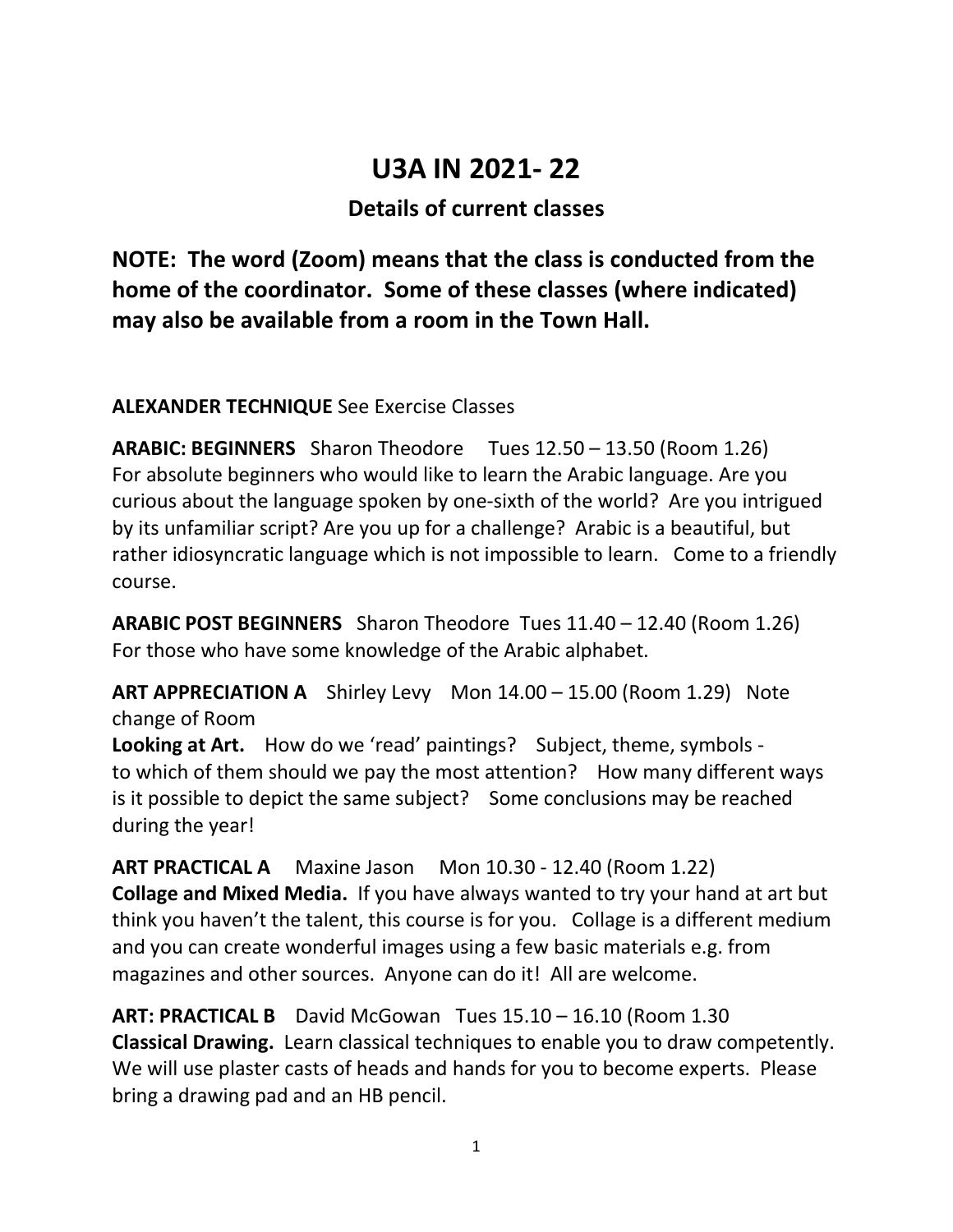# **U3A IN 2021- 22**

# **Details of current classes**

**NOTE: The word (Zoom) means that the class is conducted from the home of the coordinator. Some of these classes (where indicated) may also be available from a room in the Town Hall.** 

**ALEXANDER TECHNIQUE** See Exercise Classes

**ARABIC: BEGINNERS** Sharon Theodore Tues 12.50 – 13.50 (Room 1.26) For absolute beginners who would like to learn the Arabic language. Are you curious about the language spoken by one-sixth of the world? Are you intrigued by its unfamiliar script? Are you up for a challenge? Arabic is a beautiful, but rather idiosyncratic language which is not impossible to learn. Come to a friendly course.

**ARABIC POST BEGINNERS** Sharon Theodore Tues 11.40 – 12.40 (Room 1.26) For those who have some knowledge of the Arabic alphabet.

**ART APPRECIATION A** Shirley Levy Mon 14.00 – 15.00 (Room 1.29) Note change of Room

**Looking at Art.** How do we 'read' paintings? Subject, theme, symbols to which of them should we pay the most attention? How many different ways is it possible to depict the same subject? Some conclusions may be reached during the year!

**ART PRACTICAL A** Maxine Jason Mon 10.30 - 12.40 (Room 1.22) **Collage and Mixed Media.** If you have always wanted to try your hand at art but think you haven't the talent, this course is for you. Collage is a different medium and you can create wonderful images using a few basic materials e.g. from magazines and other sources. Anyone can do it! All are welcome.

**ART: PRACTICAL B** David McGowanTues 15.10 – 16.10 (Room 1.30 **Classical Drawing.** Learn classical techniques to enable you to draw competently. We will use plaster casts of heads and hands for you to become experts. Please bring a drawing pad and an HB pencil.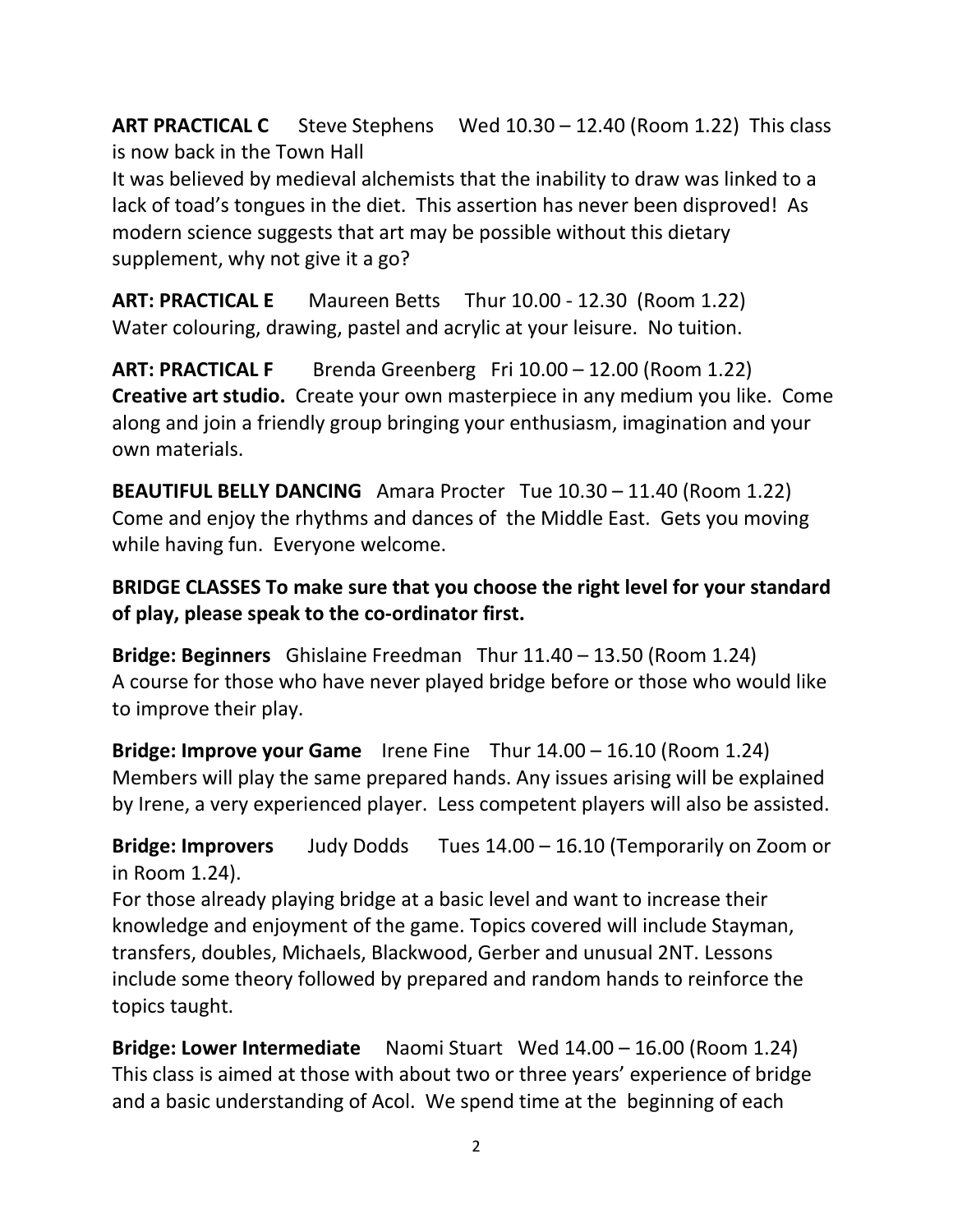**ART PRACTICAL C** Steve Stephens Wed 10.30 – 12.40 (Room 1.22) This class is now back in the Town Hall It was believed by medieval alchemists that the inability to draw was linked to a

lack of toad's tongues in the diet. This assertion has never been disproved! As modern science suggests that art may be possible without this dietary supplement, why not give it a go?

**ART: PRACTICAL E** Maureen Betts Thur 10.00 - 12.30 (Room 1.22) Water colouring, drawing, pastel and acrylic at your leisure. No tuition.

**ART: PRACTICAL F** Brenda GreenbergFri 10.00 – 12.00 (Room 1.22) **Creative art studio.** Create your own masterpiece in any medium you like. Come along and join a friendly group bringing your enthusiasm, imagination and your own materials.

**BEAUTIFUL BELLY DANCING** Amara Procter Tue 10.30 – 11.40 (Room 1.22) Come and enjoy the rhythms and dances of the Middle East. Gets you moving while having fun. Everyone welcome.

**BRIDGE CLASSES To make sure that you choose the right level for your standard of play, please speak to the co-ordinator first.** 

**Bridge: Beginners** Ghislaine Freedman Thur 11.40 – 13.50 (Room 1.24) A course for those who have never played bridge before or those who would like to improve their play.

**Bridge: Improve your Game** Irene Fine Thur 14.00 – 16.10 (Room 1.24) Members will play the same prepared hands. Any issues arising will be explained by Irene, a very experienced player. Less competent players will also be assisted.

**Bridge: Improvers** Judy Dodds Tues 14.00 – 16.10 (Temporarily on Zoom or in Room 1.24).

For those already playing bridge at a basic level and want to increase their knowledge and enjoyment of the game. Topics covered will include Stayman, transfers, doubles, Michaels, Blackwood, Gerber and unusual 2NT. Lessons include some theory followed by prepared and random hands to reinforce the topics taught.

**Bridge: Lower Intermediate** Naomi Stuart Wed 14.00 – 16.00 (Room 1.24) This class is aimed at those with about two or three years' experience of bridge and a basic understanding of Acol. We spend time at the beginning of each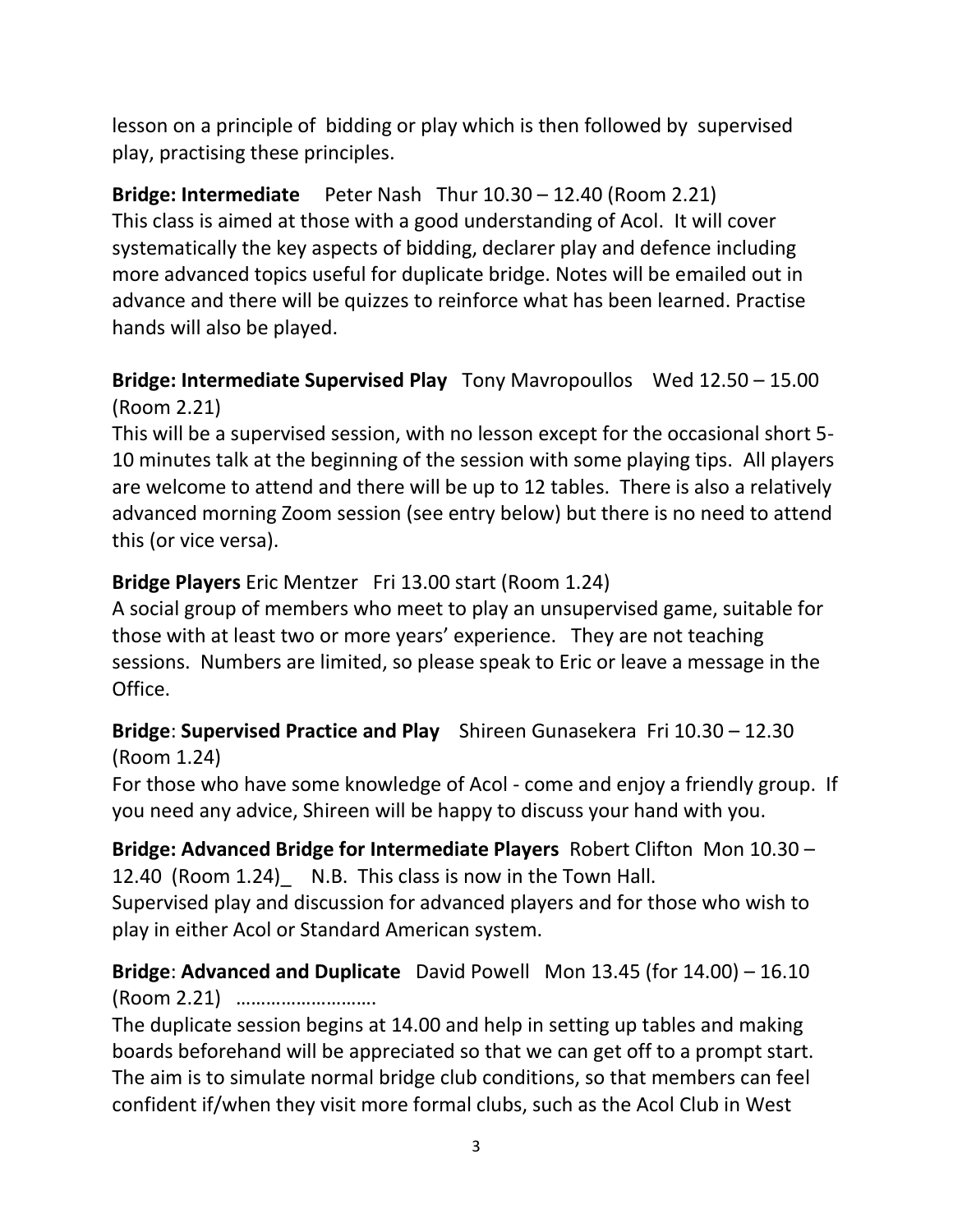lesson on a principle of bidding or play which is then followed by supervised play, practising these principles.

**Bridge: Intermediate** Peter Nash Thur 10.30 – 12.40 (Room 2.21) This class is aimed at those with a good understanding of Acol. It will cover systematically the key aspects of bidding, declarer play and defence including more advanced topics useful for duplicate bridge. Notes will be emailed out in advance and there will be quizzes to reinforce what has been learned. Practise hands will also be played.

#### **Bridge: Intermediate Supervised Play** Tony Mavropoullos Wed 12.50 – 15.00 (Room 2.21)

This will be a supervised session, with no lesson except for the occasional short 5- 10 minutes talk at the beginning of the session with some playing tips. All players are welcome to attend and there will be up to 12 tables. There is also a relatively advanced morning Zoom session (see entry below) but there is no need to attend this (or vice versa).

#### **Bridge Players** Eric Mentzer Fri 13.00 start (Room 1.24)

A social group of members who meet to play an unsupervised game, suitable for those with at least two or more years' experience. They are not teaching sessions. Numbers are limited, so please speak to Eric or leave a message in the Office.

#### **Bridge**: **Supervised Practice and Play** Shireen Gunasekera Fri 10.30 – 12.30 (Room 1.24)

For those who have some knowledge of Acol - come and enjoy a friendly group. If you need any advice, Shireen will be happy to discuss your hand with you.

**Bridge: Advanced Bridge for Intermediate Players** Robert Clifton Mon 10.30 – 12.40 (Room 1.24)\_ N.B. This class is now in the Town Hall.

Supervised play and discussion for advanced players and for those who wish to play in either Acol or Standard American system.

#### **Bridge**: **Advanced and Duplicate** David Powell Mon 13.45 (for 14.00) – 16.10 (Room 2.21) ……………………….

The duplicate session begins at 14.00 and help in setting up tables and making boards beforehand will be appreciated so that we can get off to a prompt start. The aim is to simulate normal bridge club conditions, so that members can feel confident if/when they visit more formal clubs, such as the Acol Club in West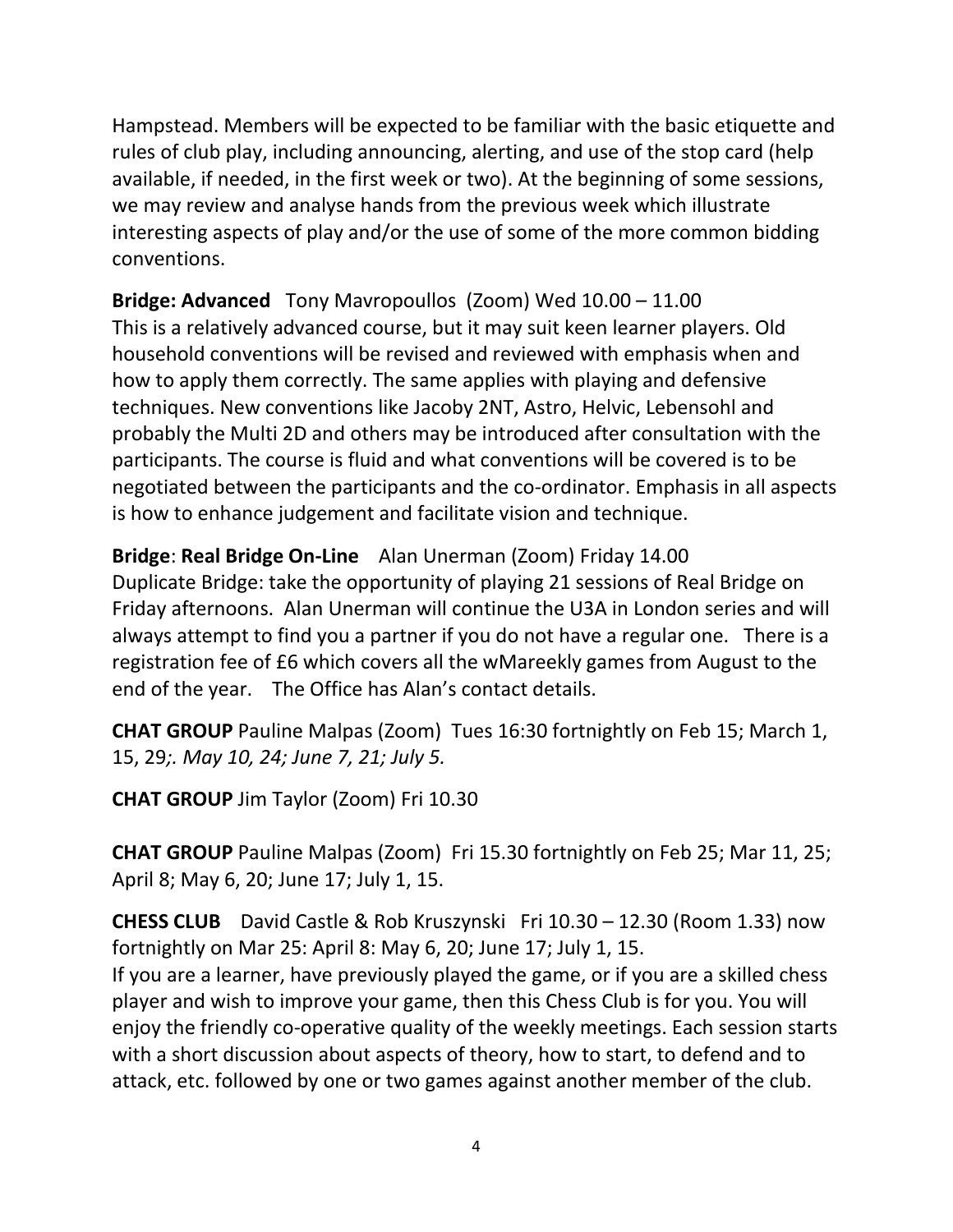Hampstead. Members will be expected to be familiar with the basic etiquette and rules of club play, including announcing, alerting, and use of the stop card (help available, if needed, in the first week or two). At the beginning of some sessions, we may review and analyse hands from the previous week which illustrate interesting aspects of play and/or the use of some of the more common bidding conventions.

**Bridge: Advanced** Tony Mavropoullos (Zoom) Wed 10.00 – 11.00 This is a relatively advanced course, but it may suit keen learner players. Old household conventions will be revised and reviewed with emphasis when and how to apply them correctly. The same applies with playing and defensive techniques. New conventions like Jacoby 2NT, Astro, Helvic, Lebensohl and probably the Multi 2D and others may be introduced after consultation with the participants. The course is fluid and what conventions will be covered is to be negotiated between the participants and the co-ordinator. Emphasis in all aspects is how to enhance judgement and facilitate vision and technique.

**Bridge**: **Real Bridge On-Line** Alan Unerman (Zoom) Friday 14.00 Duplicate Bridge: take the opportunity of playing 21 sessions of Real Bridge on Friday afternoons. Alan Unerman will continue the U3A in London series and will always attempt to find you a partner if you do not have a regular one. There is a registration fee of £6 which covers all the wMareekly games from August to the end of the year. The Office has Alan's contact details.

**CHAT GROUP** Pauline Malpas (Zoom) Tues 16:30 fortnightly on Feb 15; March 1, 15, 29*;. May 10, 24; June 7, 21; July 5.*

**CHAT GROUP** Jim Taylor (Zoom) Fri 10.30

**CHAT GROUP** Pauline Malpas (Zoom) Fri 15.30 fortnightly on Feb 25; Mar 11, 25; April 8; May 6, 20; June 17; July 1, 15.

**CHESS CLUB** David Castle & Rob Kruszynski Fri 10.30 – 12.30 (Room 1.33) now fortnightly on Mar 25: April 8: May 6, 20; June 17; July 1, 15.

If you are a learner, have previously played the game, or if you are a skilled chess player and wish to improve your game, then this Chess Club is for you. You will enjoy the friendly co-operative quality of the weekly meetings. Each session starts with a short discussion about aspects of theory, how to start, to defend and to attack, etc. followed by one or two games against another member of the club.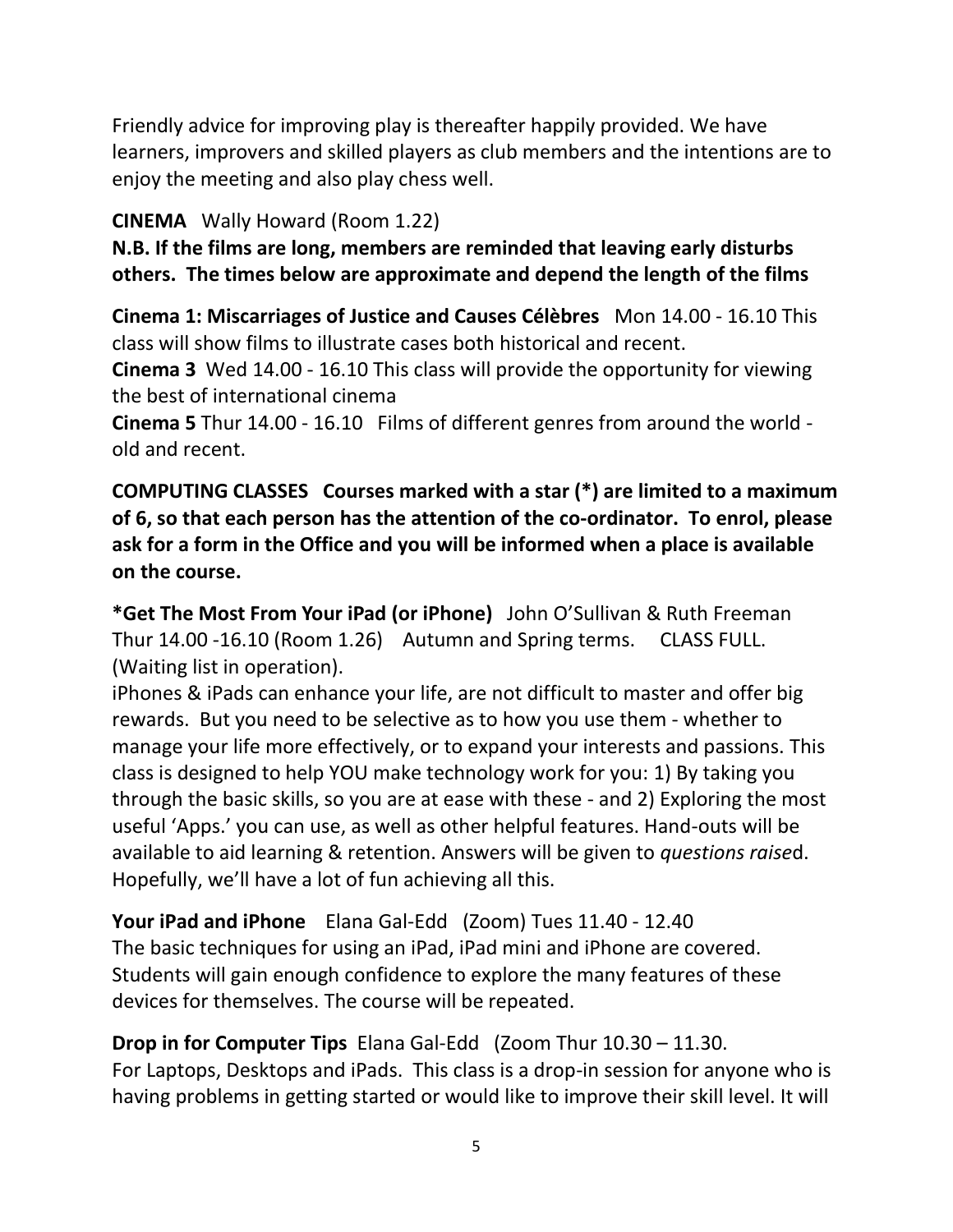Friendly advice for improving play is thereafter happily provided. We have learners, improvers and skilled players as club members and the intentions are to enjoy the meeting and also play chess well.

#### **CINEMA** Wally Howard (Room 1.22)

**N.B. If the films are long, members are reminded that leaving early disturbs others. The times below are approximate and depend the length of the films** 

**Cinema 1: Miscarriages of Justice and Causes Célèbres** Mon 14.00 - 16.10 This class will show films to illustrate cases both historical and recent.

**Cinema 3** Wed 14.00 - 16.10 This class will provide the opportunity for viewing the best of international cinema

**Cinema 5** Thur 14.00 - 16.10 Films of different genres from around the world old and recent.

**COMPUTING CLASSES Courses marked with a star (\*) are limited to a maximum of 6, so that each person has the attention of the co-ordinator. To enrol, please ask for a form in the Office and you will be informed when a place is available on the course.** 

**\*Get The Most From Your iPad (or iPhone)** John O'Sullivan & Ruth Freeman Thur 14.00 -16.10 (Room 1.26) Autumn and Spring terms. CLASS FULL. (Waiting list in operation).

iPhones & iPads can enhance your life, are not difficult to master and offer big rewards. But you need to be selective as to how you use them - whether to manage your life more effectively, or to expand your interests and passions. This class is designed to help YOU make technology work for you: 1) By taking you through the basic skills, so you are at ease with these - and 2) Exploring the most useful 'Apps.' you can use, as well as other helpful features. Hand-outs will be available to aid learning & retention. Answers will be given to *questions raise*d. Hopefully, we'll have a lot of fun achieving all this.

**Your iPad and iPhone** Elana Gal-Edd (Zoom) Tues 11.40 - 12.40 The basic techniques for using an iPad, iPad mini and iPhone are covered. Students will gain enough confidence to explore the many features of these devices for themselves. The course will be repeated.

**Drop in for Computer Tips** Elana Gal-Edd (Zoom Thur 10.30 – 11.30. For Laptops, Desktops and iPads. This class is a drop-in session for anyone who is having problems in getting started or would like to improve their skill level. It will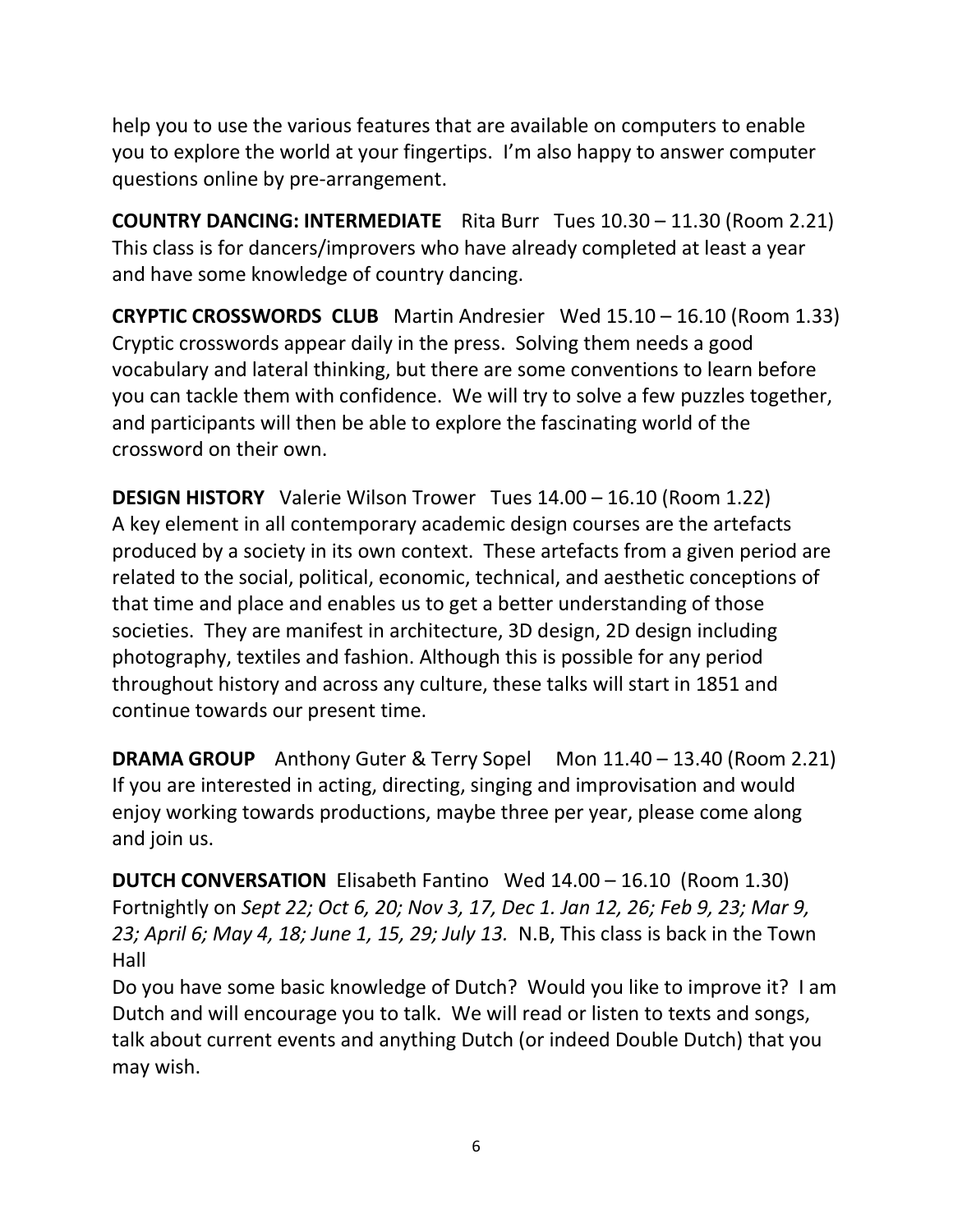help you to use the various features that are available on computers to enable you to explore the world at your fingertips. I'm also happy to answer computer questions online by pre-arrangement.

**COUNTRY DANCING: INTERMEDIATE** Rita Burr Tues 10.30 – 11.30 (Room 2.21) This class is for dancers/improvers who have already completed at least a year and have some knowledge of country dancing.

**CRYPTIC CROSSWORDS CLUB** Martin Andresier Wed 15.10 – 16.10 (Room 1.33) Cryptic crosswords appear daily in the press. Solving them needs a good vocabulary and lateral thinking, but there are some conventions to learn before you can tackle them with confidence. We will try to solve a few puzzles together, and participants will then be able to explore the fascinating world of the crossword on their own.

**DESIGN HISTORY** Valerie Wilson Trower Tues 14.00 – 16.10 (Room 1.22) A key element in all contemporary academic design courses are the artefacts produced by a society in its own context. These artefacts from a given period are related to the social, political, economic, technical, and aesthetic conceptions of that time and place and enables us to get a better understanding of those societies. They are manifest in architecture, 3D design, 2D design including photography, textiles and fashion. Although this is possible for any period throughout history and across any culture, these talks will start in 1851 and continue towards our present time.

**DRAMA GROUP** Anthony Guter & Terry Sopel Mon 11.40 – 13.40 (Room 2.21) If you are interested in acting, directing, singing and improvisation and would enjoy working towards productions, maybe three per year, please come along and join us.

**DUTCH CONVERSATION** Elisabeth Fantino Wed 14.00 – 16.10 (Room 1.30) Fortnightly on *Sept 22; Oct 6, 20; Nov 3, 17, Dec 1. Jan 12, 26; Feb 9, 23; Mar 9, 23; April 6; May 4, 18; June 1, 15, 29; July 13.* N.B, This class is back in the Town Hall

Do you have some basic knowledge of Dutch? Would you like to improve it? I am Dutch and will encourage you to talk. We will read or listen to texts and songs, talk about current events and anything Dutch (or indeed Double Dutch) that you may wish.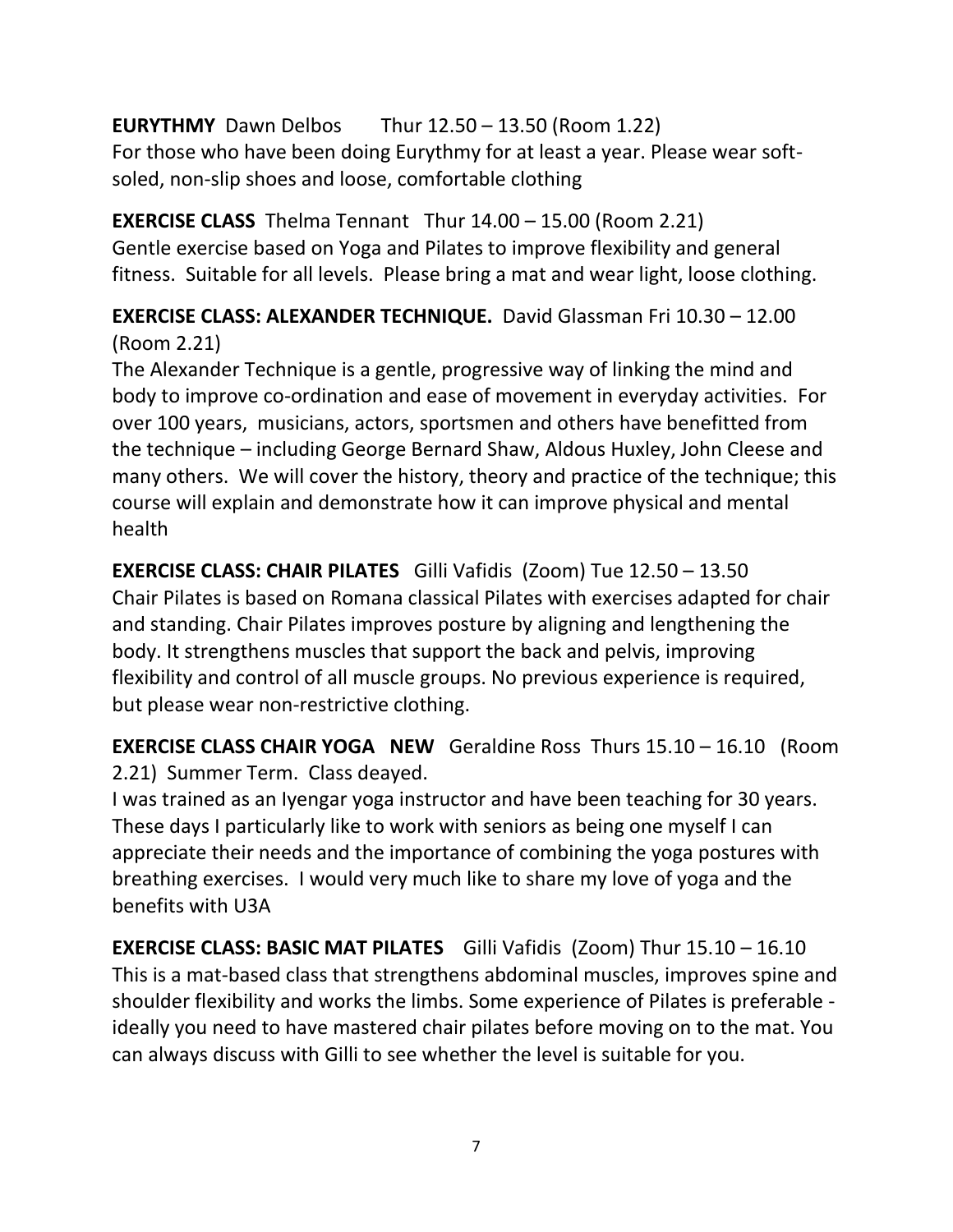**EURYTHMY** Dawn DelbosThur 12.50 – 13.50 (Room 1.22) For those who have been doing Eurythmy for at least a year. Please wear softsoled, non-slip shoes and loose, comfortable clothing

**EXERCISE CLASS** Thelma TennantThur 14.00 – 15.00 (Room 2.21) Gentle exercise based on Yoga and Pilates to improve flexibility and general fitness. Suitable for all levels. Please bring a mat and wear light, loose clothing.

**EXERCISE CLASS: ALEXANDER TECHNIQUE.** David Glassman Fri 10.30 – 12.00 (Room 2.21)

The Alexander Technique is a gentle, progressive way of linking the mind and body to improve co-ordination and ease of movement in everyday activities. For over 100 years, musicians, actors, sportsmen and others have benefitted from the technique – including George Bernard Shaw, Aldous Huxley, John Cleese and many others. We will cover the history, theory and practice of the technique; this course will explain and demonstrate how it can improve physical and mental health

**EXERCISE CLASS: CHAIR PILATES** Gilli Vafidis (Zoom) Tue 12.50 – 13.50 Chair Pilates is based on Romana classical Pilates with exercises adapted for chair and standing. Chair Pilates improves posture by aligning and lengthening the body. It strengthens muscles that support the back and pelvis, improving flexibility and control of all muscle groups. No previous experience is required, but please wear non-restrictive clothing.

**EXERCISE CLASS CHAIR YOGA NEW** Geraldine Ross Thurs 15.10 – 16.10 (Room 2.21) Summer Term. Class deayed.

I was trained as an Iyengar yoga instructor and have been teaching for 30 years. These days I particularly like to work with seniors as being one myself I can appreciate their needs and the importance of combining the yoga postures with breathing exercises. I would very much like to share my love of yoga and the benefits with U3A

**EXERCISE CLASS: BASIC MAT PILATES** Gilli Vafidis (Zoom) Thur 15.10 – 16.10 This is a mat-based class that strengthens abdominal muscles, improves spine and shoulder flexibility and works the limbs. Some experience of Pilates is preferable ideally you need to have mastered chair pilates before moving on to the mat. You can always discuss with Gilli to see whether the level is suitable for you.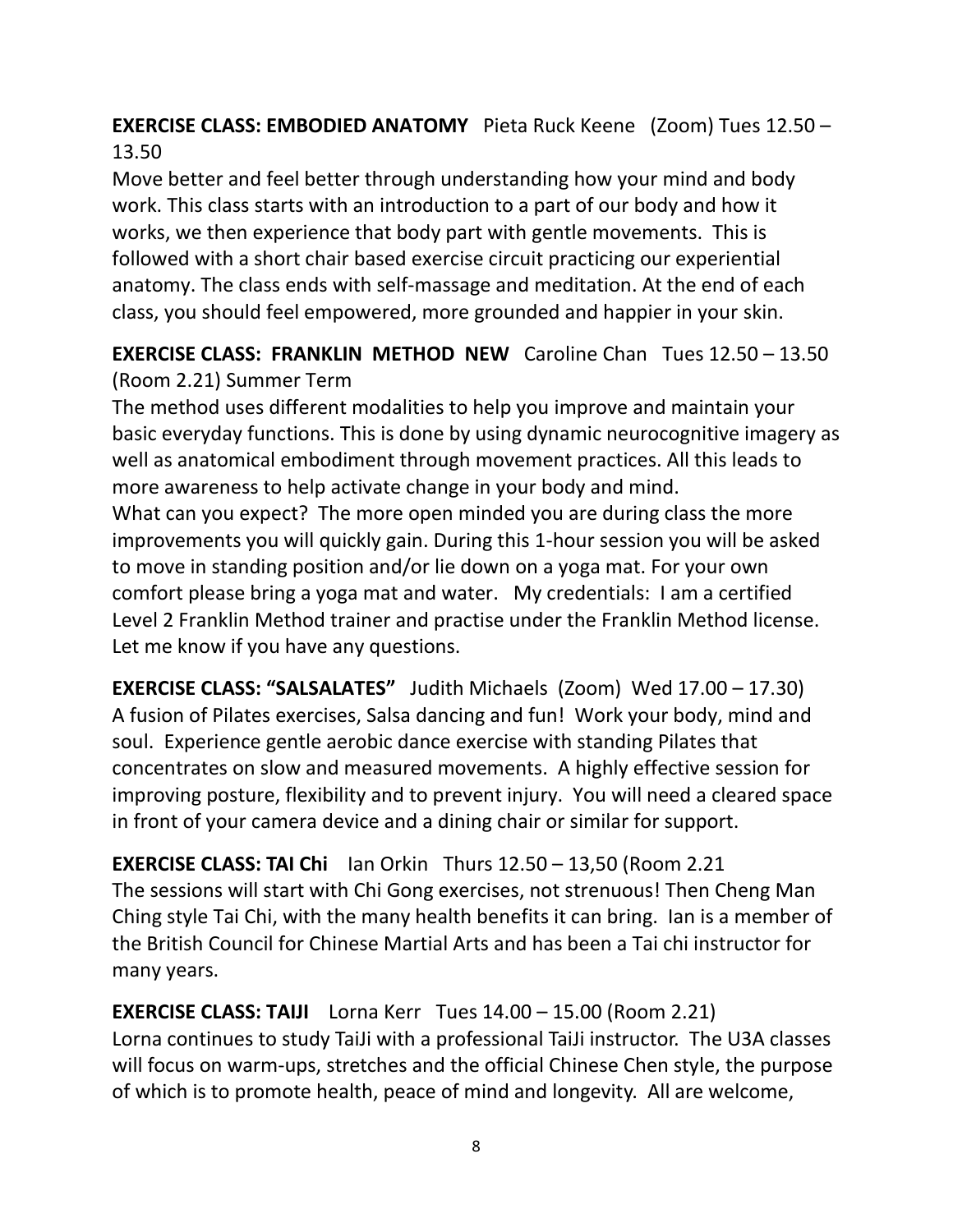# **EXERCISE CLASS: EMBODIED ANATOMY** Pieta Ruck Keene (Zoom) Tues 12.50 – 13.50

Move better and feel better through understanding how your mind and body work. This class starts with an introduction to a part of our body and how it works, we then experience that body part with gentle movements. This is followed with a short chair based exercise circuit practicing our experiential anatomy. The class ends with self-massage and meditation. At the end of each class, you should feel empowered, more grounded and happier in your skin.

## **EXERCISE CLASS: FRANKLIN METHOD NEW** Caroline Chan Tues 12.50 – 13.50 (Room 2.21) Summer Term

The method uses different modalities to help you improve and maintain your basic everyday functions. This is done by using dynamic neurocognitive imagery as well as anatomical embodiment through movement practices. All this leads to more awareness to help activate change in your body and mind. What can you expect? The more open minded you are during class the more improvements you will quickly gain. During this 1-hour session you will be asked to move in standing position and/or lie down on a yoga mat. For your own comfort please bring a yoga mat and water. My credentials: I am a certified Level 2 Franklin Method trainer and practise under the Franklin Method license. Let me know if you have any questions.

**EXERCISE CLASS: "SALSALATES"** Judith Michaels (Zoom) Wed 17.00 – 17.30) A fusion of Pilates exercises, Salsa dancing and fun! Work your body, mind and soul. Experience gentle aerobic dance exercise with standing Pilates that concentrates on slow and measured movements. A highly effective session for improving posture, flexibility and to prevent injury. You will need a cleared space in front of your camera device and a dining chair or similar for support.

**EXERCISE CLASS: TAI Chi** Ian Orkin Thurs 12.50 – 13,50 (Room 2.21 The sessions will start with Chi Gong exercises, not strenuous! Then Cheng Man Ching style Tai Chi, with the many health benefits it can bring. Ian is a member of the British Council for Chinese Martial Arts and has been a Tai chi instructor for many years.

**EXERCISE CLASS: TAIJI** Lorna KerrTues 14.00 – 15.00 (Room 2.21) Lorna continues to study TaiJi with a professional TaiJi instructor. The U3A classes will focus on warm-ups, stretches and the official Chinese Chen style, the purpose of which is to promote health, peace of mind and longevity. All are welcome,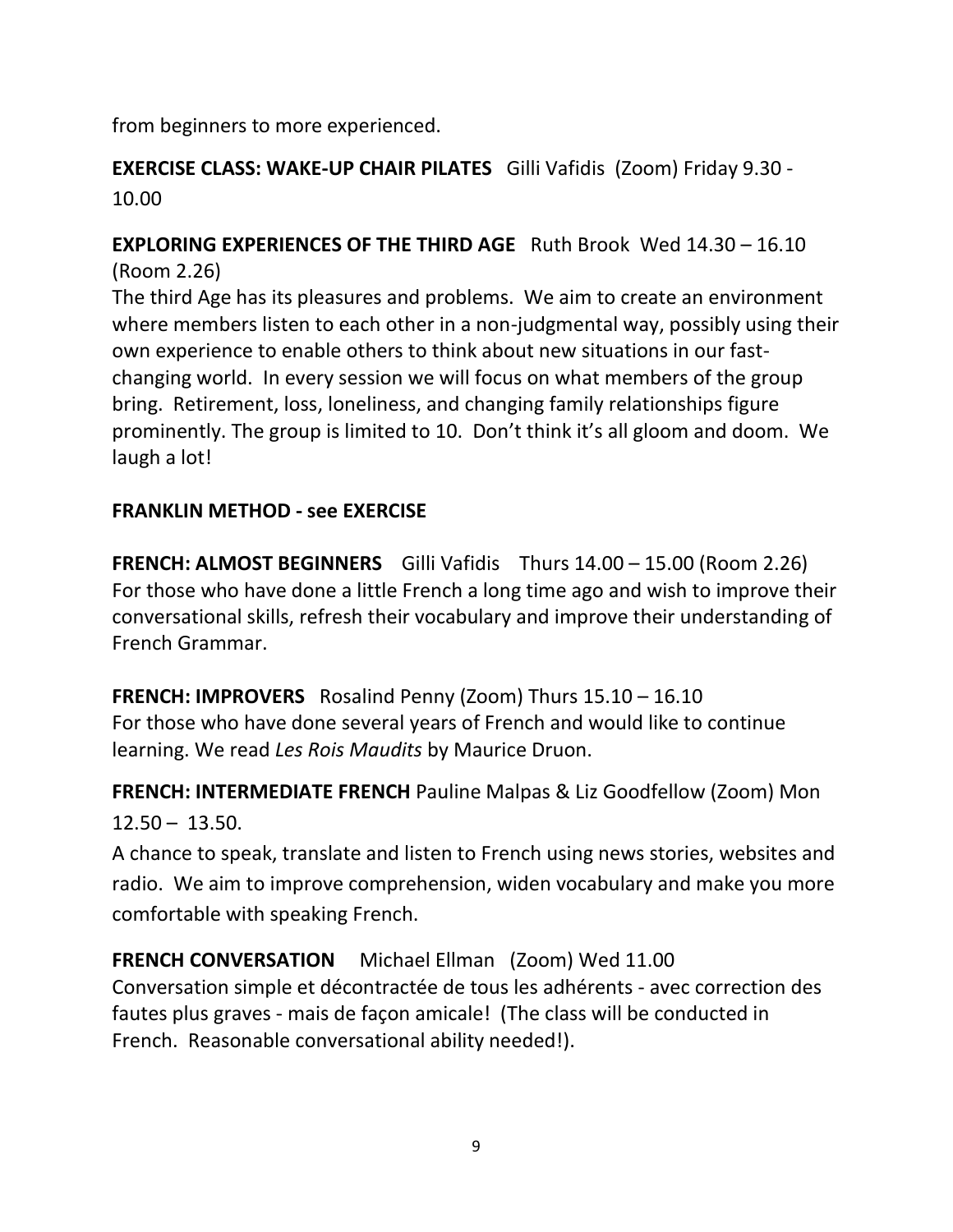from beginners to more experienced.

## **EXERCISE CLASS: WAKE-UP CHAIR PILATES** Gilli Vafidis (Zoom) Friday 9.30 - 10.00

#### **EXPLORING EXPERIENCES OF THE THIRD AGE** Ruth Brook Wed 14.30 – 16.10 (Room 2.26)

The third Age has its pleasures and problems. We aim to create an environment where members listen to each other in a non-judgmental way, possibly using their own experience to enable others to think about new situations in our fastchanging world. In every session we will focus on what members of the group bring. Retirement, loss, loneliness, and changing family relationships figure prominently. The group is limited to 10. Don't think it's all gloom and doom. We laugh a lot!

#### **FRANKLIN METHOD - see EXERCISE**

**FRENCH: ALMOST BEGINNERS** Gilli Vafidis Thurs 14.00 – 15.00 (Room 2.26) For those who have done a little French a long time ago and wish to improve their conversational skills, refresh their vocabulary and improve their understanding of French Grammar.

**FRENCH: IMPROVERS** Rosalind Penny (Zoom) Thurs 15.10 – 16.10 For those who have done several years of French and would like to continue learning. We read *Les Rois Maudits* by Maurice Druon.

**FRENCH: INTERMEDIATE FRENCH** Pauline Malpas & Liz Goodfellow (Zoom) Mon  $12.50 - 13.50$ .

A chance to speak, translate and listen to French using news stories, websites and radio. We aim to improve comprehension, widen vocabulary and make you more comfortable with speaking French.

**FRENCH CONVERSATION** Michael Ellman (Zoom) Wed 11.00 Conversation simple et décontractée de tous les adhérents - avec correction des fautes plus graves - mais de façon amicale! (The class will be conducted in French. Reasonable conversational ability needed!).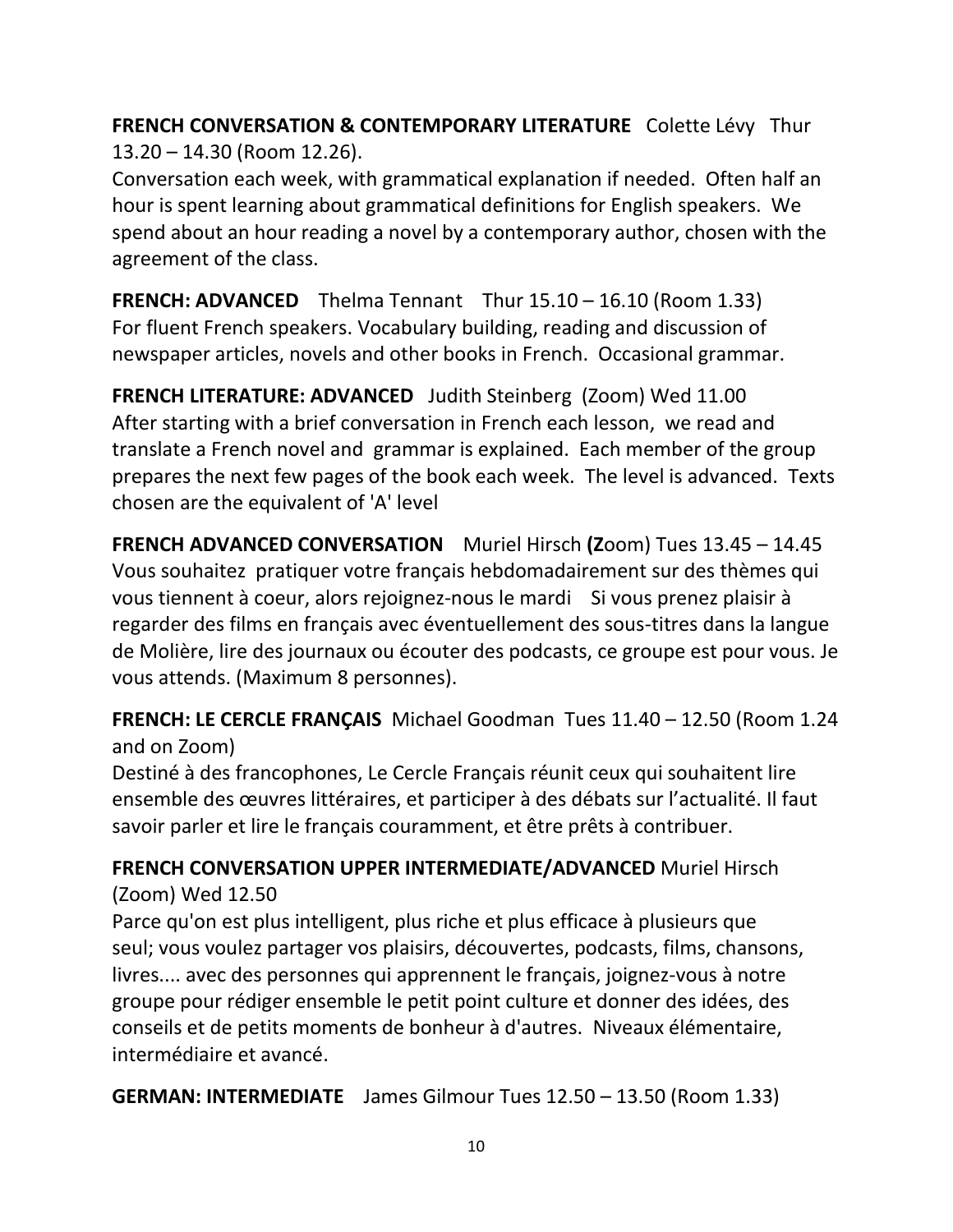**FRENCH CONVERSATION & CONTEMPORARY LITERATURE** Colette Lévy Thur 13.20 – 14.30 (Room 12.26).

Conversation each week, with grammatical explanation if needed. Often half an hour is spent learning about grammatical definitions for English speakers. We spend about an hour reading a novel by a contemporary author, chosen with the agreement of the class.

**FRENCH: ADVANCED** Thelma TennantThur 15.10 – 16.10 (Room 1.33) For fluent French speakers. Vocabulary building, reading and discussion of newspaper articles, novels and other books in French. Occasional grammar.

**FRENCH LITERATURE: ADVANCED** Judith Steinberg (Zoom) Wed 11.00 After starting with a brief conversation in French each lesson, we read and translate a French novel and grammar is explained. Each member of the group prepares the next few pages of the book each week. The level is advanced. Texts chosen are the equivalent of 'A' level

**FRENCH ADVANCED CONVERSATION** Muriel Hirsch **(Z**oom) Tues 13.45 – 14.45 Vous souhaitez pratiquer votre français hebdomadairement sur des thèmes qui vous tiennent à coeur, alors rejoignez-nous le mardi Si vous prenez plaisir à regarder des films en français avec éventuellement des sous-titres dans la langue de Molière, lire des journaux ou écouter des podcasts, ce groupe est pour vous. Je vous attends. (Maximum 8 personnes).

**FRENCH: LE CERCLE FRANÇAIS** Michael GoodmanTues 11.40 – 12.50 (Room 1.24 and on Zoom)

Destiné à des francophones, Le Cercle Français réunit ceux qui souhaitent lire ensemble des œuvres littéraires, et participer à des débats sur l'actualité. Il faut savoir parler et lire le français couramment, et être prêts à contribuer.

## **FRENCH CONVERSATION UPPER INTERMEDIATE/ADVANCED** Muriel Hirsch (Zoom) Wed 12.50

Parce qu'on est plus intelligent, plus riche et plus efficace à plusieurs que seul; vous voulez partager vos plaisirs, découvertes, podcasts, films, chansons, livres.... avec des personnes qui apprennent le français, joignez-vous à notre groupe pour rédiger ensemble le petit point culture et donner des idées, des conseils et de petits moments de bonheur à d'autres. Niveaux élémentaire, intermédiaire et avancé.

**GERMAN: INTERMEDIATE** James Gilmour Tues 12.50 – 13.50 (Room 1.33)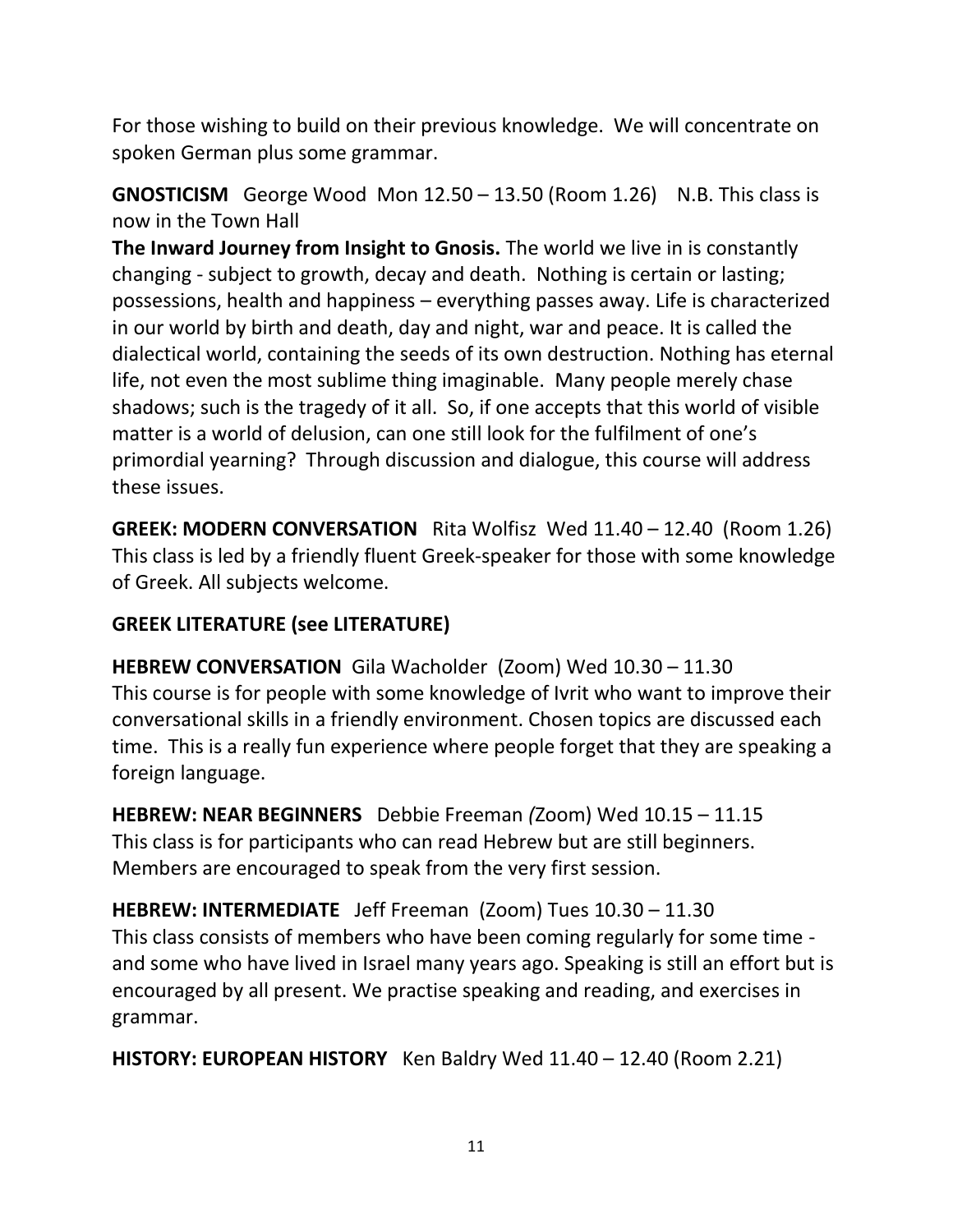For those wishing to build on their previous knowledge. We will concentrate on spoken German plus some grammar.

**GNOSTICISM** George Wood Mon 12.50 – 13.50 (Room 1.26) N.B. This class is now in the Town Hall

**The Inward Journey from Insight to Gnosis.** The world we live in is constantly changing - subject to growth, decay and death. Nothing is certain or lasting; possessions, health and happiness – everything passes away. Life is characterized in our world by birth and death, day and night, war and peace. It is called the dialectical world, containing the seeds of its own destruction. Nothing has eternal life, not even the most sublime thing imaginable. Many people merely chase shadows; such is the tragedy of it all. So, if one accepts that this world of visible matter is a world of delusion, can one still look for the fulfilment of one's primordial yearning? Through discussion and dialogue, this course will address these issues.

**GREEK: MODERN CONVERSATION** Rita Wolfisz Wed 11.40 – 12.40 (Room 1.26) This class is led by a friendly fluent Greek-speaker for those with some knowledge of Greek. All subjects welcome.

#### **GREEK LITERATURE (see LITERATURE)**

**HEBREW CONVERSATION** Gila Wacholder(Zoom) Wed 10.30 – 11.30 This course is for people with some knowledge of Ivrit who want to improve their conversational skills in a friendly environment. Chosen topics are discussed each time. This is a really fun experience where people forget that they are speaking a foreign language.

**HEBREW: NEAR BEGINNERS** Debbie Freeman *(*Zoom) Wed 10.15 – 11.15 This class is for participants who can read Hebrew but are still beginners. Members are encouraged to speak from the very first session.

**HEBREW: INTERMEDIATE** Jeff Freeman (Zoom) Tues 10.30 – 11.30 This class consists of members who have been coming regularly for some time and some who have lived in Israel many years ago. Speaking is still an effort but is encouraged by all present. We practise speaking and reading, and exercises in grammar.

**HISTORY: EUROPEAN HISTORY** Ken Baldry Wed 11.40 – 12.40 (Room 2.21)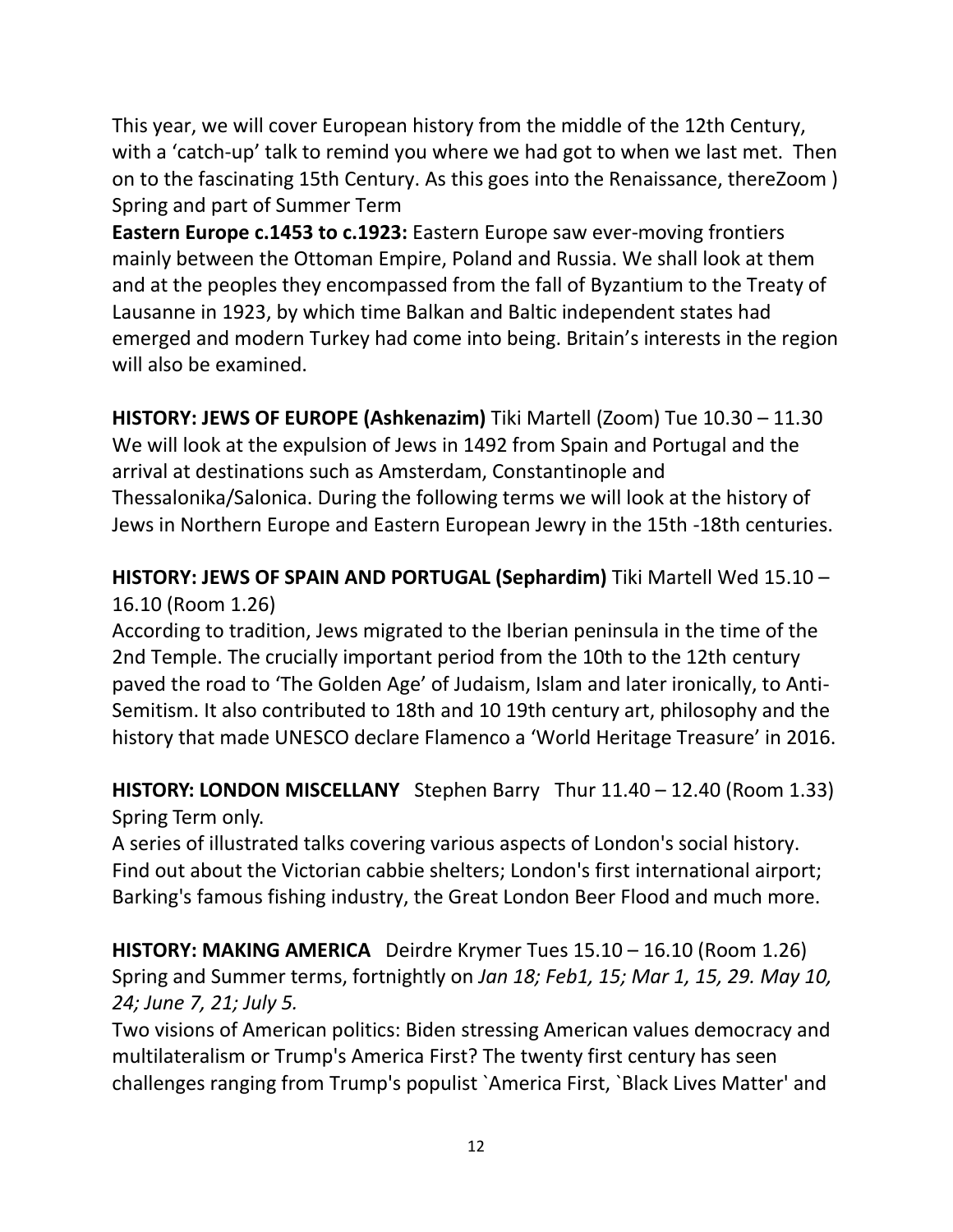This year, we will cover European history from the middle of the 12th Century, with a 'catch-up' talk to remind you where we had got to when we last met. Then on to the fascinating 15th Century. As this goes into the Renaissance, thereZoom ) Spring and part of Summer Term

**Eastern Europe c.1453 to c.1923:** Eastern Europe saw ever-moving frontiers mainly between the Ottoman Empire, Poland and Russia. We shall look at them and at the peoples they encompassed from the fall of Byzantium to the Treaty of Lausanne in 1923, by which time Balkan and Baltic independent states had emerged and modern Turkey had come into being. Britain's interests in the region will also be examined.

**HISTORY: JEWS OF EUROPE (Ashkenazim)** Tiki Martell (Zoom) Tue 10.30 – 11.30 We will look at the expulsion of Jews in 1492 from Spain and Portugal and the arrival at destinations such as Amsterdam, Constantinople and Thessalonika/Salonica. During the following terms we will look at the history of Jews in Northern Europe and Eastern European Jewry in the 15th -18th centuries.

#### **HISTORY: JEWS OF SPAIN AND PORTUGAL (Sephardim)** Tiki Martell Wed 15.10 – 16.10 (Room 1.26)

According to tradition, Jews migrated to the Iberian peninsula in the time of the 2nd Temple. The crucially important period from the 10th to the 12th century paved the road to 'The Golden Age' of Judaism, Islam and later ironically, to Anti-Semitism. It also contributed to 18th and 10 19th century art, philosophy and the history that made UNESCO declare Flamenco a 'World Heritage Treasure' in 2016.

# **HISTORY: LONDON MISCELLANY** Stephen Barry Thur 11.40 – 12.40 (Room 1.33) Spring Term only.

A series of illustrated talks covering various aspects of London's social history. Find out about the Victorian cabbie shelters; London's first international airport; Barking's famous fishing industry, the Great London Beer Flood and much more.

**HISTORY: MAKING AMERICA** Deirdre Krymer Tues 15.10 – 16.10 (Room 1.26) Spring and Summer terms, fortnightly on *Jan 18; Feb1, 15; Mar 1, 15, 29. May 10, 24; June 7, 21; July 5.* 

Two visions of American politics: Biden stressing American values democracy and multilateralism or Trump's America First? The twenty first century has seen challenges ranging from Trump's populist `America First, `Black Lives Matter' and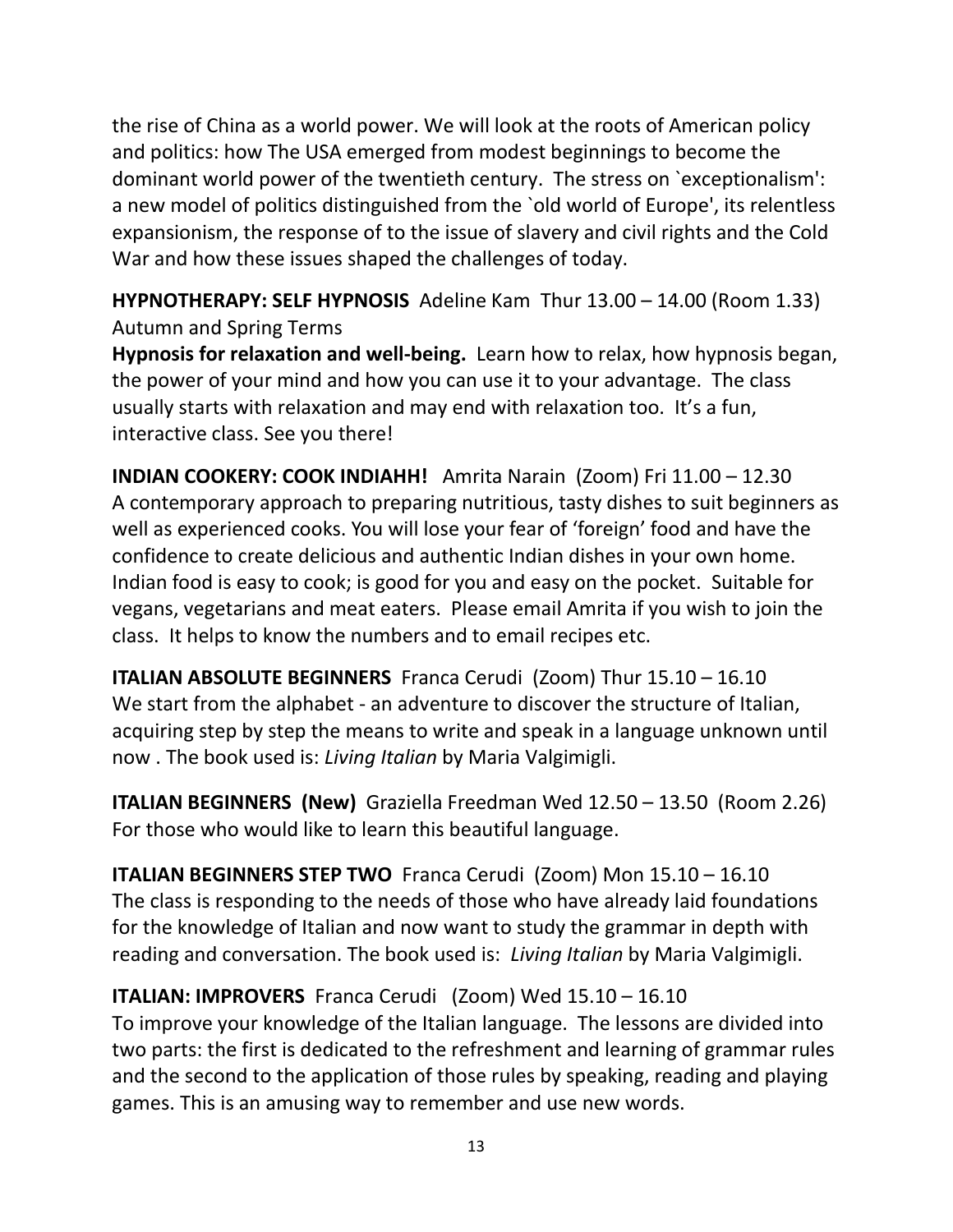the rise of China as a world power. We will look at the roots of American policy and politics: how The USA emerged from modest beginnings to become the dominant world power of the twentieth century. The stress on `exceptionalism': a new model of politics distinguished from the `old world of Europe', its relentless expansionism, the response of to the issue of slavery and civil rights and the Cold War and how these issues shaped the challenges of today.

**HYPNOTHERAPY: SELF HYPNOSIS** Adeline Kam Thur 13.00 – 14.00 (Room 1.33) Autumn and Spring Terms

**Hypnosis for relaxation and well-being.** Learn how to relax, how hypnosis began, the power of your mind and how you can use it to your advantage. The class usually starts with relaxation and may end with relaxation too. It's a fun, interactive class. See you there!

**INDIAN COOKERY: COOK INDIAHH!** Amrita Narain (Zoom) Fri 11.00 – 12.30 A contemporary approach to preparing nutritious, tasty dishes to suit beginners as well as experienced cooks. You will lose your fear of 'foreign' food and have the confidence to create delicious and authentic Indian dishes in your own home. Indian food is easy to cook; is good for you and easy on the pocket. Suitable for vegans, vegetarians and meat eaters. Please email Amrita if you wish to join the class. It helps to know the numbers and to email recipes etc.

**ITALIAN ABSOLUTE BEGINNERS** Franca Cerudi (Zoom) Thur 15.10 – 16.10 We start from the alphabet - an adventure to discover the structure of Italian, acquiring step by step the means to write and speak in a language unknown until now . The book used is: *Living Italian* by Maria Valgimigli.

**ITALIAN BEGINNERS (New)** Graziella Freedman Wed 12.50 – 13.50 (Room 2.26) For those who would like to learn this beautiful language.

**ITALIAN BEGINNERS STEP TWO** Franca Cerudi (Zoom) Mon 15.10 – 16.10 The class is responding to the needs of those who have already laid foundations for the knowledge of Italian and now want to study the grammar in depth with reading and conversation. The book used is: *Living Italian* by Maria Valgimigli.

**ITALIAN: IMPROVERS** Franca Cerudi (Zoom) Wed 15.10 – 16.10 To improve your knowledge of the Italian language. The lessons are divided into two parts: the first is dedicated to the refreshment and learning of grammar rules and the second to the application of those rules by speaking, reading and playing games. This is an amusing way to remember and use new words.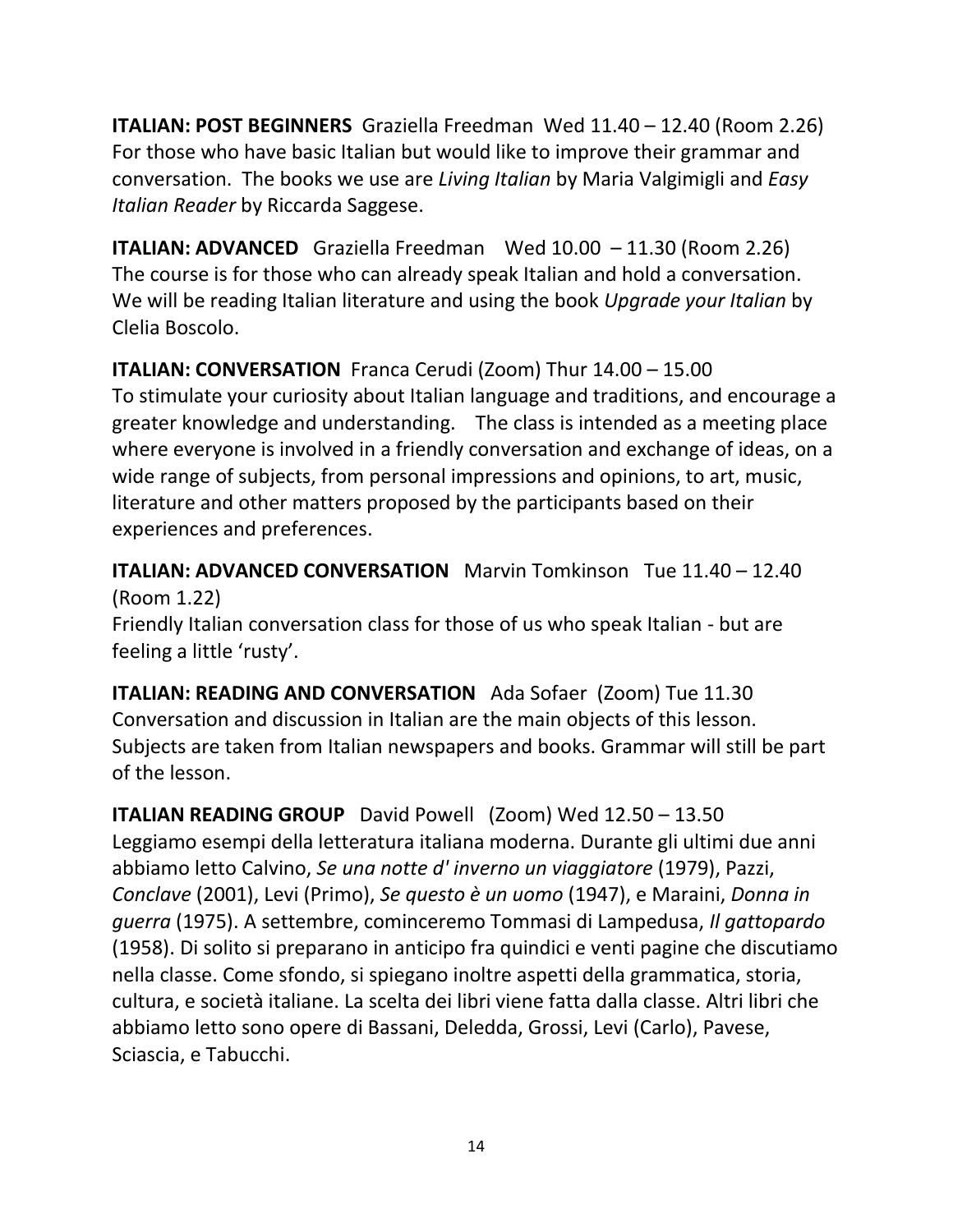**ITALIAN: POST BEGINNERS** Graziella Freedman Wed 11.40 – 12.40 (Room 2.26) For those who have basic Italian but would like to improve their grammar and conversation. The books we use are *Living Italian* by Maria Valgimigli and *Easy Italian Reader* by Riccarda Saggese.

**ITALIAN: ADVANCED** Graziella Freedman Wed 10.00 – 11.30 (Room 2.26) The course is for those who can already speak Italian and hold a conversation. We will be reading Italian literature and using the book *Upgrade your Italian* by Clelia Boscolo.

**ITALIAN: CONVERSATION** Franca Cerudi (Zoom) Thur 14.00 – 15.00 To stimulate your curiosity about Italian language and traditions, and encourage a greater knowledge and understanding. The class is intended as a meeting place where everyone is involved in a friendly conversation and exchange of ideas, on a wide range of subjects, from personal impressions and opinions, to art, music, literature and other matters proposed by the participants based on their experiences and preferences.

**ITALIAN: ADVANCED CONVERSATION** Marvin TomkinsonTue 11.40 – 12.40 (Room 1.22)

Friendly Italian conversation class for those of us who speak Italian - but are feeling a little 'rusty'.

**ITALIAN: READING AND CONVERSATION** Ada Sofaer (Zoom) Tue 11.30 Conversation and discussion in Italian are the main objects of this lesson. Subjects are taken from Italian newspapers and books. Grammar will still be part of the lesson.

**ITALIAN READING GROUP** David Powell(Zoom) Wed 12.50 – 13.50 Leggiamo esempi della letteratura italiana moderna. Durante gli ultimi due anni abbiamo letto Calvino, *Se una notte d' inverno un viaggiatore* (1979), Pazzi, *Conclave* (2001), Levi (Primo), *Se questo è un uomo* (1947), e Maraini, *Donna in guerra* (1975). A settembre, cominceremo Tommasi di Lampedusa, *Il gattopardo* (1958). Di solito si preparano in anticipo fra quindici e venti pagine che discutiamo nella classe. Come sfondo, si spiegano inoltre aspetti della grammatica, storia, cultura, e società italiane. La scelta dei libri viene fatta dalla classe. Altri libri che abbiamo letto sono opere di Bassani, Deledda, Grossi, Levi (Carlo), Pavese, Sciascia, e Tabucchi.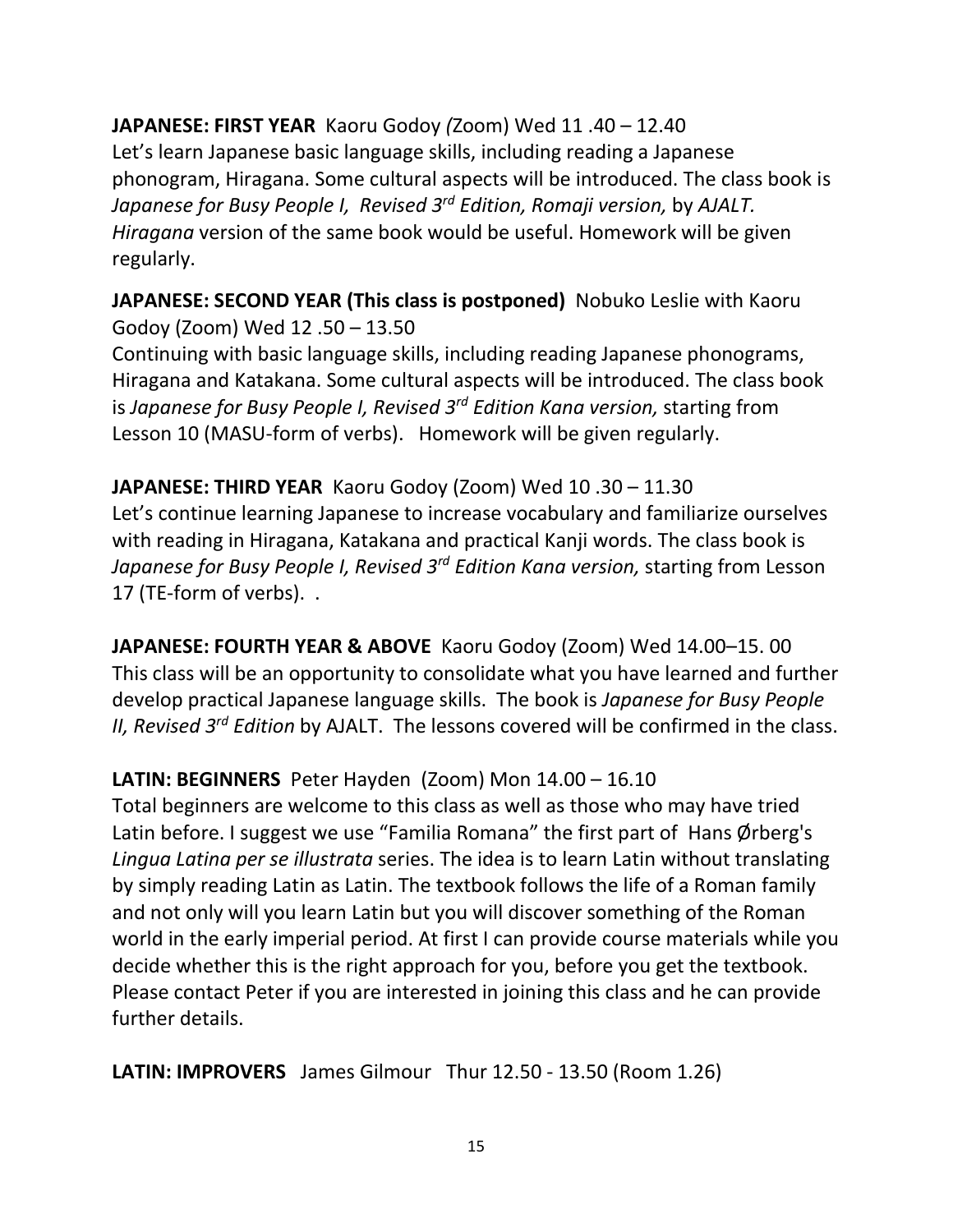**JAPANESE: FIRST YEAR** Kaoru Godoy *(*Zoom) Wed 11 .40 – 12.40 Let's learn Japanese basic language skills, including reading a Japanese phonogram, Hiragana. Some cultural aspects will be introduced. The class book is *Japanese for Busy People I, Revised 3rd Edition, Romaji version,* by *AJALT. Hiragana* version of the same book would be useful. Homework will be given regularly.

**JAPANESE: SECOND YEAR (This class is postponed)** Nobuko Leslie with Kaoru Godoy (Zoom) Wed 12 .50 – 13.50

Continuing with basic language skills, including reading Japanese phonograms, Hiragana and Katakana. Some cultural aspects will be introduced. The class book is *Japanese for Busy People I, Revised 3rd Edition Kana version,* starting from Lesson 10 (MASU-form of verbs). Homework will be given regularly.

**JAPANESE: THIRD YEAR** Kaoru Godoy (Zoom) Wed 10 .30 – 11.30 Let's continue learning Japanese to increase vocabulary and familiarize ourselves with reading in Hiragana, Katakana and practical Kanji words. The class book is *Japanese for Busy People I, Revised 3rd Edition Kana version,* starting from Lesson 17 (TE-form of verbs). .

**JAPANESE: FOURTH YEAR & ABOVE** Kaoru Godoy (Zoom) Wed 14.00–15. 00 This class will be an opportunity to consolidate what you have learned and further develop practical Japanese language skills. The book is *Japanese for Busy People II, Revised 3rd Edition* by AJALT. The lessons covered will be confirmed in the class.

## **LATIN: BEGINNERS** Peter Hayden (Zoom) Mon 14.00 – 16.10

Total beginners are welcome to this class as well as those who may have tried Latin before. I suggest we use "Familia Romana" the first part of Hans Ørberg's *Lingua Latina per se illustrata* series. The idea is to learn Latin without translating by simply reading Latin as Latin. The textbook follows the life of a Roman family and not only will you learn Latin but you will discover something of the Roman world in the early imperial period. At first I can provide course materials while you decide whether this is the right approach for you, before you get the textbook. Please contact Peter if you are interested in joining this class and he can provide further details.

**LATIN: IMPROVERS** James Gilmour Thur 12.50 - 13.50 (Room 1.26)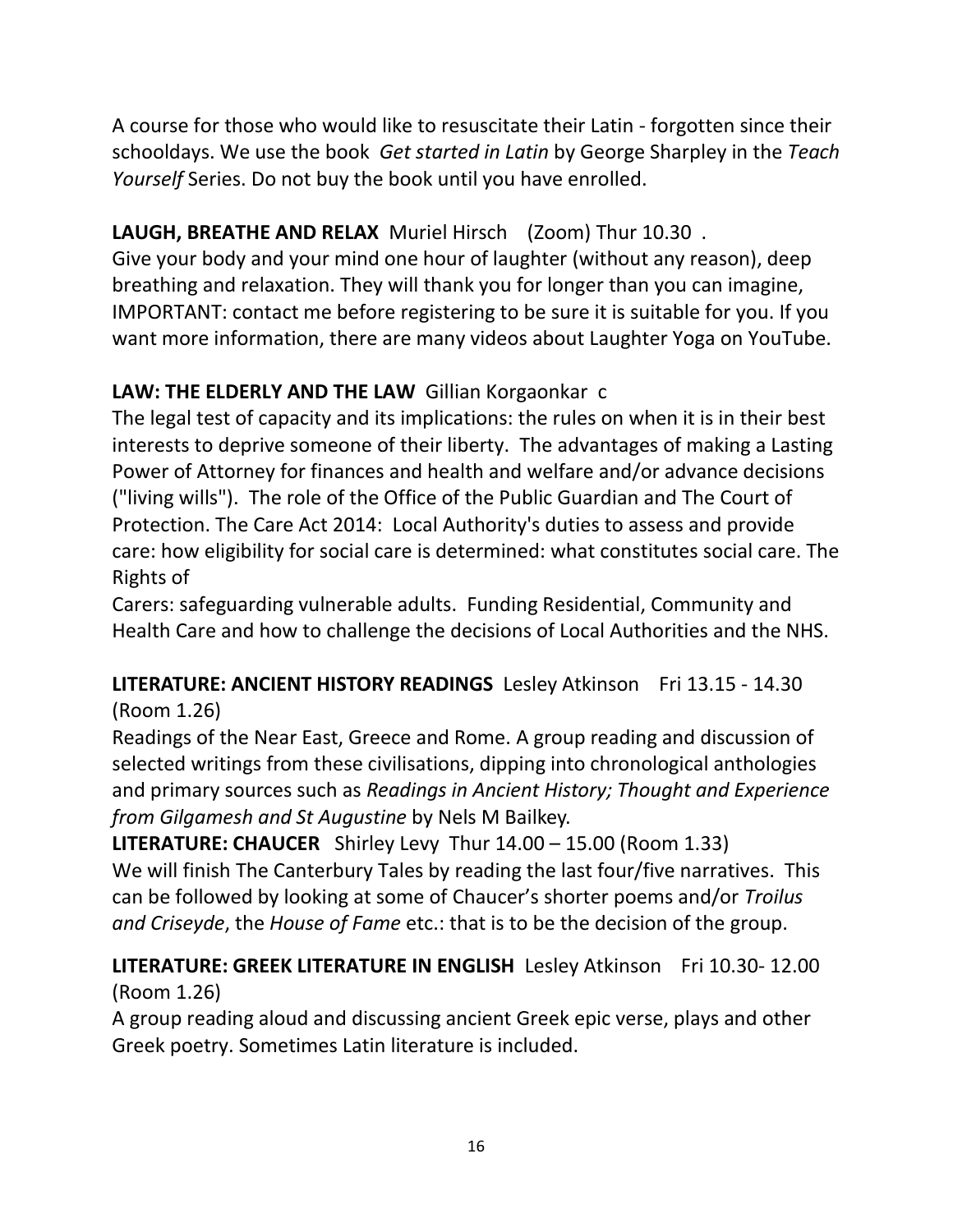A course for those who would like to resuscitate their Latin - forgotten since their schooldays. We use the book *Get started in Latin* by George Sharpley in the *Teach Yourself* Series. Do not buy the book until you have enrolled.

## **LAUGH, BREATHE AND RELAX** Muriel Hirsch (Zoom) Thur 10.30 .

Give your body and your mind one hour of laughter (without any reason), deep breathing and relaxation. They will thank you for longer than you can imagine, IMPORTANT: contact me before registering to be sure it is suitable for you. If you want more information, there are many videos about Laughter Yoga on YouTube.

# **LAW: THE ELDERLY AND THE LAW** Gillian Korgaonkar c

The legal test of capacity and its implications: the rules on when it is in their best interests to deprive someone of their liberty. The advantages of making a Lasting Power of Attorney for finances and health and welfare and/or advance decisions ("living wills"). The role of the Office of the Public Guardian and The Court of Protection. The Care Act 2014: Local Authority's duties to assess and provide care: how eligibility for social care is determined: what constitutes social care. The Rights of

Carers: safeguarding vulnerable adults. Funding Residential, Community and Health Care and how to challenge the decisions of Local Authorities and the NHS.

# **LITERATURE: ANCIENT HISTORY READINGS** Lesley Atkinson Fri 13.15 - 14.30

(Room 1.26)

Readings of the Near East, Greece and Rome. A group reading and discussion of selected writings from these civilisations, dipping into chronological anthologies and primary sources such as *Readings in Ancient History; Thought and Experience from Gilgamesh and St Augustine* by Nels M Bailkey.

**LITERATURE: CHAUCER** Shirley Levy Thur 14.00 – 15.00 (Room 1.33) We will finish The Canterbury Tales by reading the last four/five narratives. This can be followed by looking at some of Chaucer's shorter poems and/or *Troilus and Criseyde*, the *House of Fame* etc.: that is to be the decision of the group.

# **LITERATURE: GREEK LITERATURE IN ENGLISH** Lesley Atkinson Fri 10.30- 12.00 (Room 1.26)

A group reading aloud and discussing ancient Greek epic verse, plays and other Greek poetry. Sometimes Latin literature is included.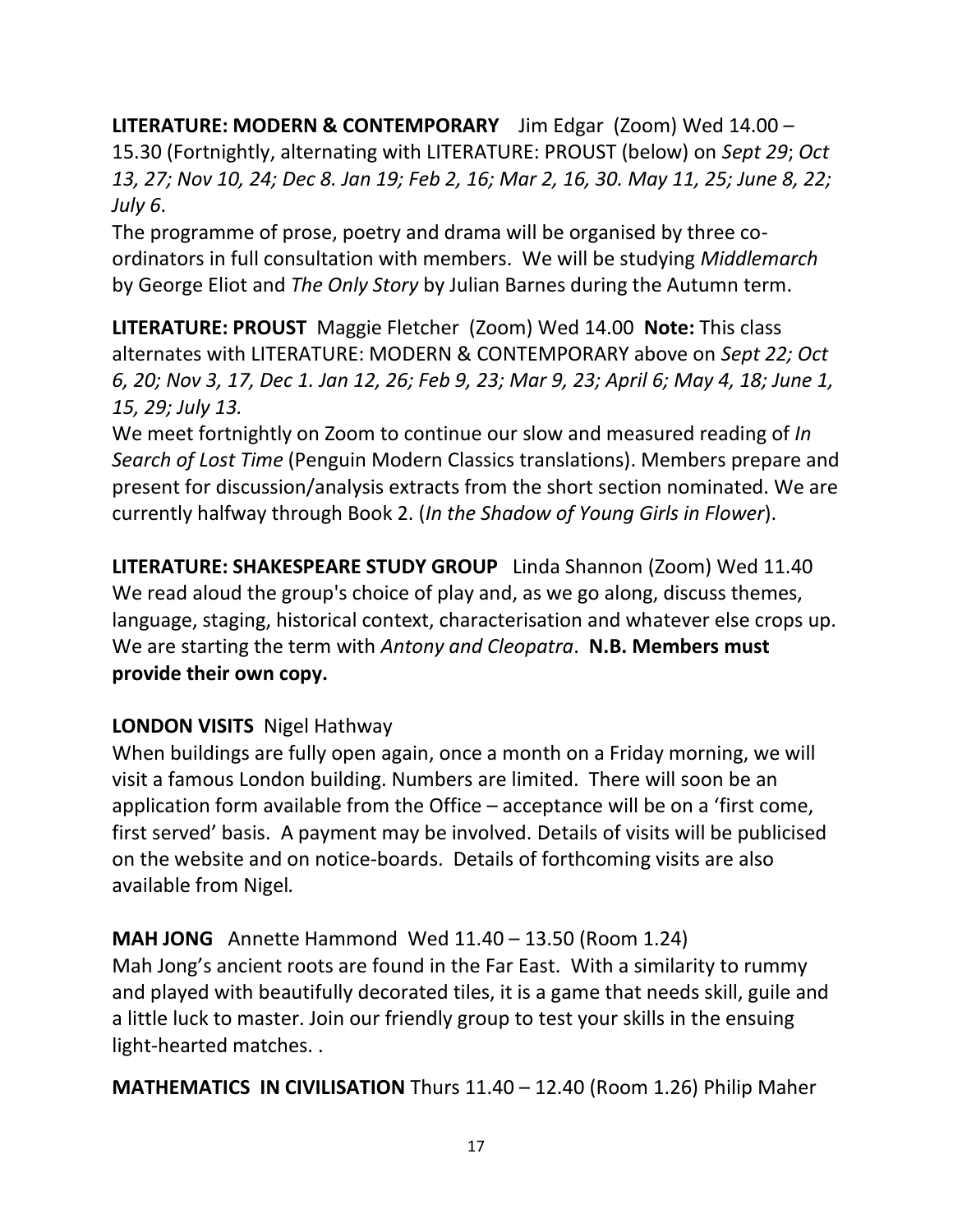**LITERATURE: MODERN & CONTEMPORARY** Jim Edgar (Zoom) Wed 14.00 – 15.30 (Fortnightly, alternating with LITERATURE: PROUST (below) on *Sept 29*; *Oct 13, 27; Nov 10, 24; Dec 8. Jan 19; Feb 2, 16; Mar 2, 16, 30. May 11, 25; June 8, 22; July 6*.

The programme of prose, poetry and drama will be organised by three coordinators in full consultation with members. We will be studying *Middlemarch*  by George Eliot and *The Only Story* by Julian Barnes during the Autumn term.

**LITERATURE: PROUST** Maggie Fletcher (Zoom) Wed 14.00 **Note:** This class alternates with LITERATURE: MODERN & CONTEMPORARY above on *Sept 22; Oct 6, 20; Nov 3, 17, Dec 1. Jan 12, 26; Feb 9, 23; Mar 9, 23; April 6; May 4, 18; June 1, 15, 29; July 13.* 

We meet fortnightly on Zoom to continue our slow and measured reading of *In Search of Lost Time* (Penguin Modern Classics translations). Members prepare and present for discussion/analysis extracts from the short section nominated. We are currently halfway through Book 2. (*In the Shadow of Young Girls in Flower*).

**LITERATURE: SHAKESPEARE STUDY GROUP** Linda Shannon (Zoom) Wed 11.40 We read aloud the group's choice of play and, as we go along, discuss themes, language, staging, historical context, characterisation and whatever else crops up. We are starting the term with *Antony and Cleopatra*. **N.B. Members must provide their own copy.** 

## **LONDON VISITS** Nigel Hathway

When buildings are fully open again, once a month on a Friday morning, we will visit a famous London building. Numbers are limited. There will soon be an application form available from the Office – acceptance will be on a 'first come, first served' basis. A payment may be involved. Details of visits will be publicised on the website and on notice-boards. Details of forthcoming visits are also available from Nigel*.*

**MAH JONG** Annette Hammond Wed 11.40 – 13.50 (Room 1.24) Mah Jong's ancient roots are found in the Far East. With a similarity to rummy and played with beautifully decorated tiles, it is a game that needs skill, guile and a little luck to master. Join our friendly group to test your skills in the ensuing light-hearted matches. .

**MATHEMATICS IN CIVILISATION** Thurs 11.40 – 12.40 (Room 1.26) Philip Maher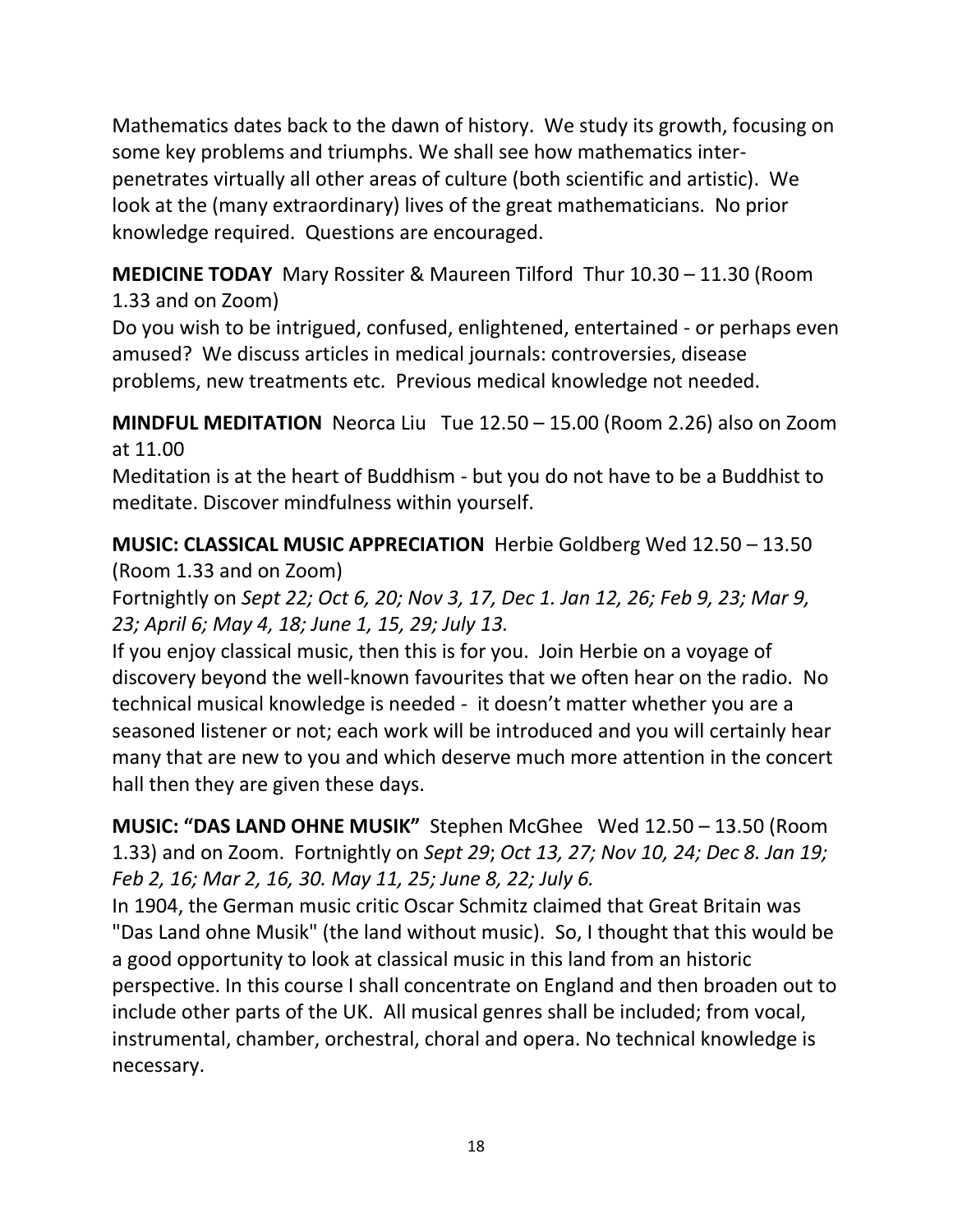Mathematics dates back to the dawn of history. We study its growth, focusing on some key problems and triumphs. We shall see how mathematics interpenetrates virtually all other areas of culture (both scientific and artistic). We look at the (many extraordinary) lives of the great mathematicians. No prior knowledge required. Questions are encouraged.

**MEDICINE TODAY** Mary Rossiter & Maureen Tilford Thur 10.30 – 11.30 (Room 1.33 and on Zoom)

Do you wish to be intrigued, confused, enlightened, entertained - or perhaps even amused? We discuss articles in medical journals: controversies, disease problems, new treatments etc. Previous medical knowledge not needed.

**MINDFUL MEDITATION** Neorca Liu Tue 12.50 – 15.00 (Room 2.26) also on Zoom at 11.00

Meditation is at the heart of Buddhism - but you do not have to be a Buddhist to meditate. Discover mindfulness within yourself.

**MUSIC: CLASSICAL MUSIC APPRECIATION** Herbie Goldberg Wed 12.50 – 13.50

(Room 1.33 and on Zoom)

Fortnightly on *Sept 22; Oct 6, 20; Nov 3, 17, Dec 1. Jan 12, 26; Feb 9, 23; Mar 9, 23; April 6; May 4, 18; June 1, 15, 29; July 13.*

If you enjoy classical music, then this is for you. Join Herbie on a voyage of discovery beyond the well-known favourites that we often hear on the radio. No technical musical knowledge is needed - it doesn't matter whether you are a seasoned listener or not; each work will be introduced and you will certainly hear many that are new to you and which deserve much more attention in the concert hall then they are given these days.

**MUSIC: "DAS LAND OHNE MUSIK"** Stephen McGhee Wed 12.50 – 13.50 (Room 1.33) and on Zoom. Fortnightly on *Sept 29*; *Oct 13, 27; Nov 10, 24; Dec 8. Jan 19; Feb 2, 16; Mar 2, 16, 30. May 11, 25; June 8, 22; July 6.* 

In 1904, the German music critic Oscar Schmitz claimed that Great Britain was "Das Land ohne Musik" (the land without music). So, I thought that this would be a good opportunity to look at classical music in this land from an historic perspective. In this course I shall concentrate on England and then broaden out to include other parts of the UK. All musical genres shall be included; from vocal, instrumental, chamber, orchestral, choral and opera. No technical knowledge is necessary.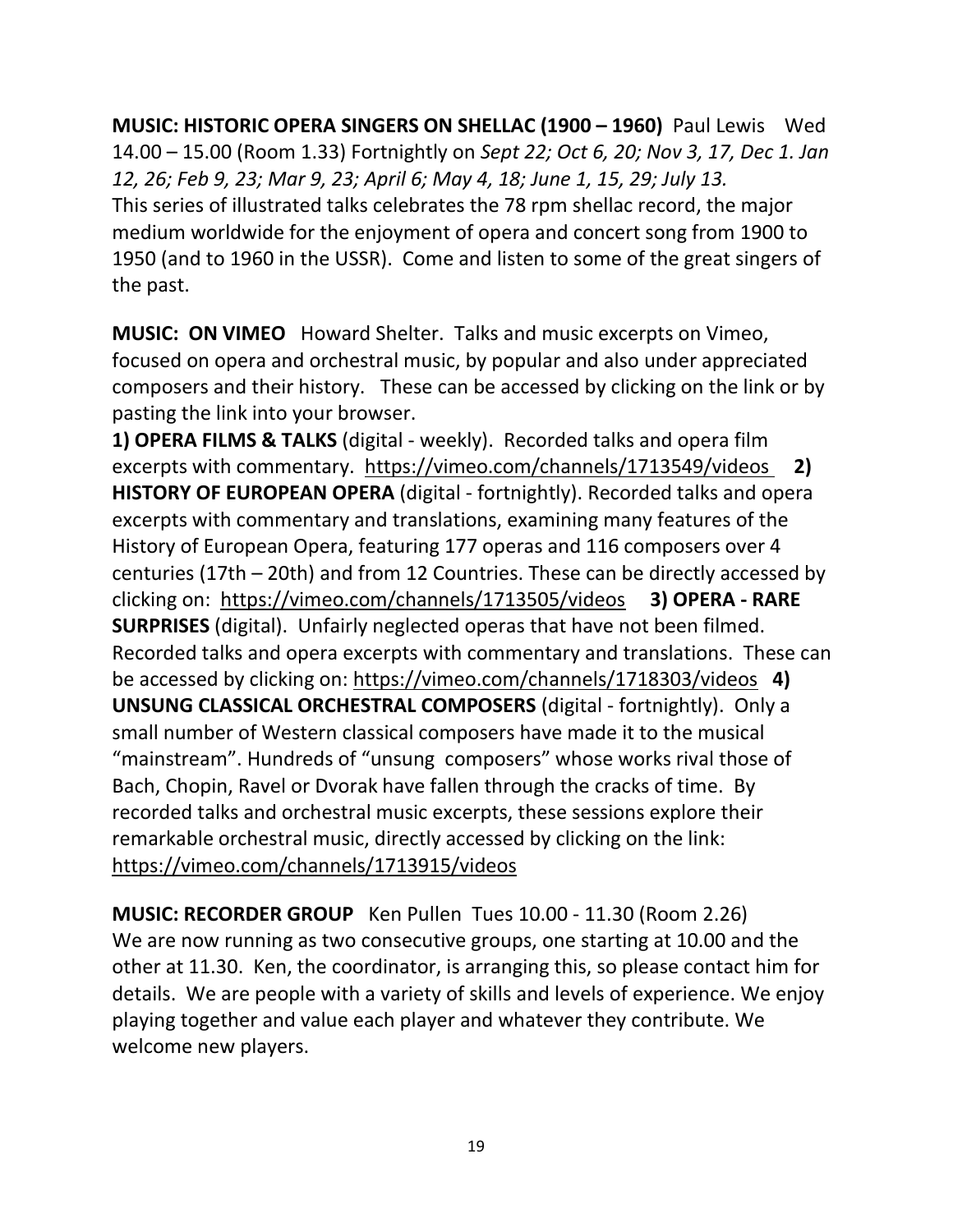**MUSIC: HISTORIC OPERA SINGERS ON SHELLAC (1900 – 1960)** Paul Lewis Wed 14.00 – 15.00 (Room 1.33) Fortnightly on *Sept 22; Oct 6, 20; Nov 3, 17, Dec 1. Jan 12, 26; Feb 9, 23; Mar 9, 23; April 6; May 4, 18; June 1, 15, 29; July 13.* This series of illustrated talks celebrates the 78 rpm shellac record, the major medium worldwide for the enjoyment of opera and concert song from 1900 to 1950 (and to 1960 in the USSR). Come and listen to some of the great singers of the past.

**MUSIC: ON VIMEO** Howard Shelter. Talks and music excerpts on Vimeo, focused on opera and orchestral music, by popular and also under appreciated composers and their history. These can be accessed by clicking on the link or by pasting the link into your browser.

**1) OPERA FILMS & TALKS** (digital - weekly). Recorded talks and opera film excerpts with commentary. <https://vimeo.com/channels/1713549/videos> **2) HISTORY OF EUROPEAN OPERA** (digital - fortnightly). Recorded talks and opera excerpts with commentary and translations, examining many features of the History of European Opera, featuring 177 operas and 116 composers over 4 centuries (17th – 20th) and from 12 Countries. These can be directly accessed by clicking on: <https://vimeo.com/channels/1713505/videos>**3) OPERA - RARE SURPRISES** (digital). Unfairly neglected operas that have not been filmed. Recorded talks and opera excerpts with commentary and translations. These can be accessed by clicking on: <https://vimeo.com/channels/1718303/videos> **4) UNSUNG CLASSICAL ORCHESTRAL COMPOSERS** (digital - fortnightly). Only a small number of Western classical composers have made it to the musical "mainstream". Hundreds of "unsung composers" whose works rival those of Bach, Chopin, Ravel or Dvorak have fallen through the cracks of time. By recorded talks and orchestral music excerpts, these sessions explore their remarkable orchestral music, directly accessed by clicking on the link: <https://vimeo.com/channels/1713915/videos>

**MUSIC: RECORDER GROUP** Ken Pullen Tues 10.00 - 11.30 (Room 2.26) We are now running as two consecutive groups, one starting at 10.00 and the other at 11.30. Ken, the coordinator, is arranging this, so please contact him for details. We are people with a variety of skills and levels of experience. We enjoy playing together and value each player and whatever they contribute. We welcome new players.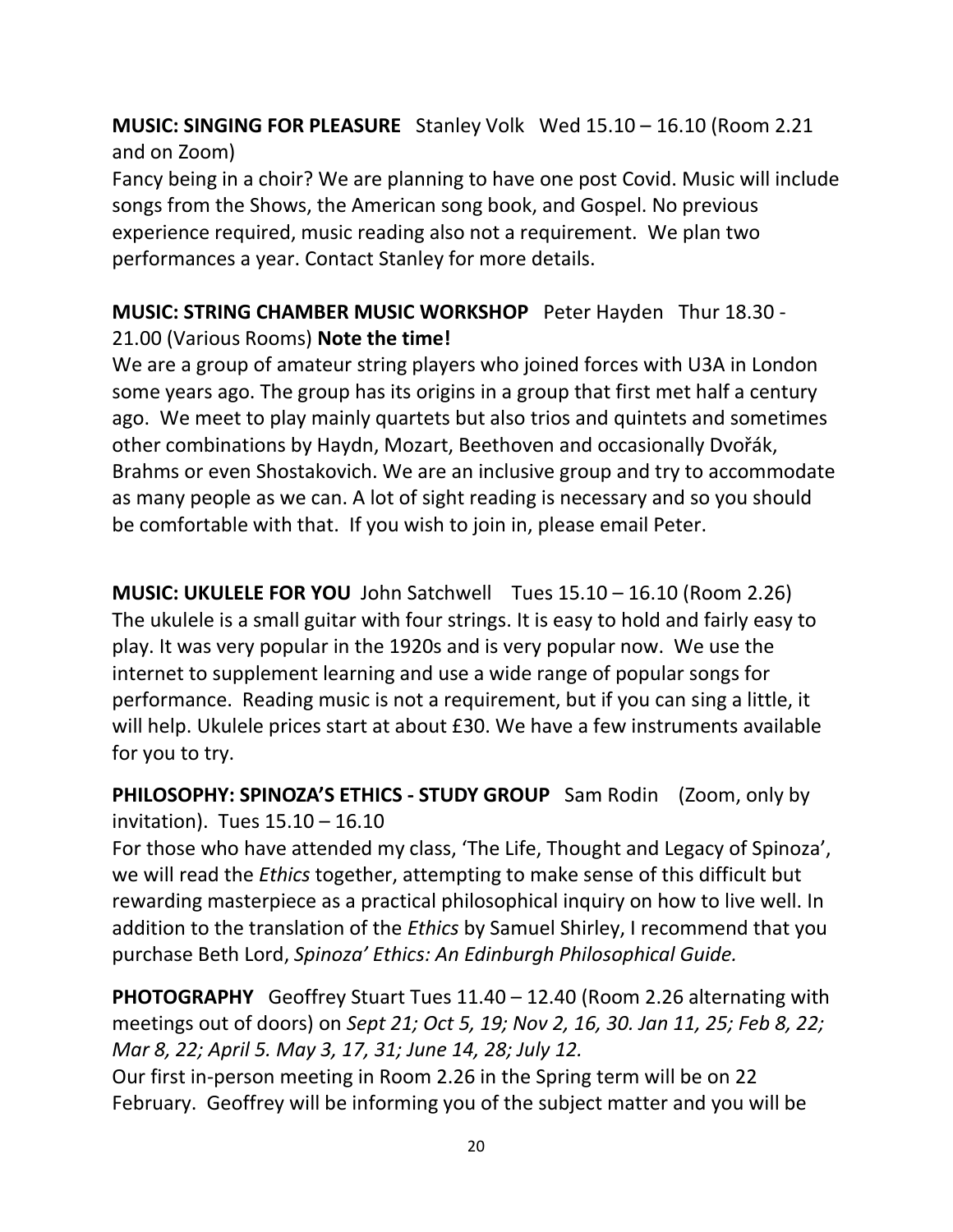**MUSIC: SINGING FOR PLEASURE** Stanley Volk Wed 15.10 – 16.10 (Room 2.21 and on Zoom)

Fancy being in a choir? We are planning to have one post Covid. Music will include songs from the Shows, the American song book, and Gospel. No previous experience required, music reading also not a requirement. We plan two performances a year. Contact Stanley for more details.

#### **MUSIC: STRING CHAMBER MUSIC WORKSHOP** Peter Hayden Thur 18.30 - 21.00 (Various Rooms) **Note the time!**

We are a group of amateur string players who joined forces with U3A in London some years ago. The group has its origins in a group that first met half a century ago. We meet to play mainly quartets but also trios and quintets and sometimes other combinations by Haydn, Mozart, Beethoven and occasionally Dvořák, Brahms or even Shostakovich. We are an inclusive group and try to accommodate as many people as we can. A lot of sight reading is necessary and so you should be comfortable with that. If you wish to join in, please email Peter.

**MUSIC: UKULELE FOR YOU** John Satchwell Tues 15.10 – 16.10 (Room 2.26) The ukulele is a small guitar with four strings. It is easy to hold and fairly easy to play. It was very popular in the 1920s and is very popular now. We use the internet to supplement learning and use a wide range of popular songs for performance. Reading music is not a requirement, but if you can sing a little, it will help. Ukulele prices start at about £30. We have a few instruments available for you to try.

## **PHILOSOPHY: SPINOZA'S ETHICS - STUDY GROUP** Sam Rodin(Zoom, only by invitation). Tues 15.10 – 16.10

For those who have attended my class, 'The Life, Thought and Legacy of Spinoza', we will read the *Ethics* together, attempting to make sense of this difficult but rewarding masterpiece as a practical philosophical inquiry on how to live well. In addition to the translation of the *Ethics* by Samuel Shirley, I recommend that you purchase Beth Lord, *Spinoza' Ethics: An Edinburgh Philosophical Guide.*

**PHOTOGRAPHY** Geoffrey Stuart Tues 11.40 – 12.40 (Room 2.26 alternating with meetings out of doors) on *Sept 21; Oct 5, 19; Nov 2, 16, 30. Jan 11, 25; Feb 8, 22; Mar 8, 22; April 5. May 3, 17, 31; June 14, 28; July 12.*

Our first in-person meeting in Room 2.26 in the Spring term will be on 22 February. Geoffrey will be informing you of the subject matter and you will be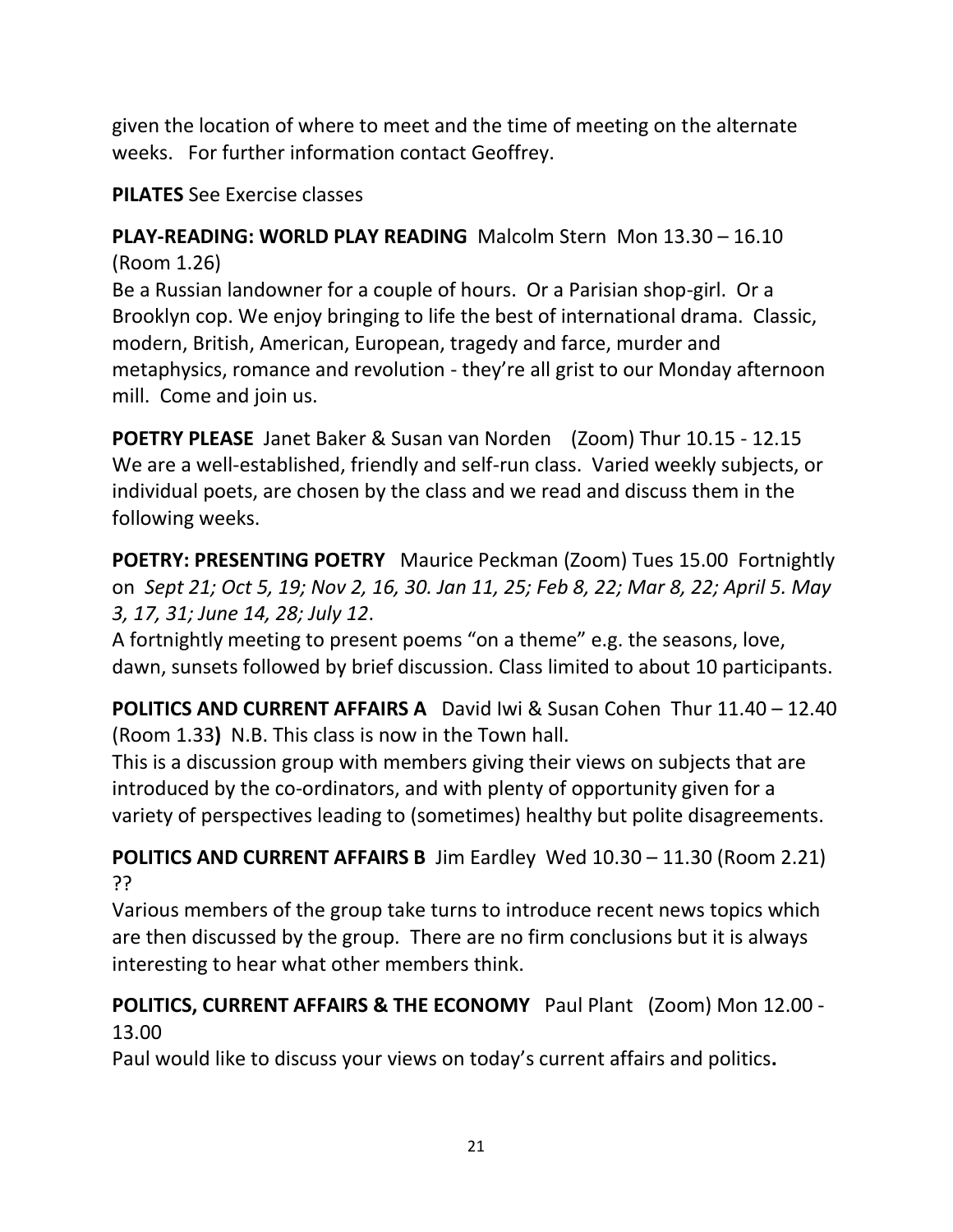given the location of where to meet and the time of meeting on the alternate weeks. For further information contact Geoffrey.

**PILATES** See Exercise classes

#### **PLAY-READING: WORLD PLAY READING** Malcolm Stern Mon 13.30 – 16.10 (Room 1.26)

Be a Russian landowner for a couple of hours. Or a Parisian shop-girl. Or a Brooklyn cop. We enjoy bringing to life the best of international drama. Classic, modern, British, American, European, tragedy and farce, murder and metaphysics, romance and revolution - they're all grist to our Monday afternoon mill. Come and join us.

**POETRY PLEASE** Janet Baker & Susan van Norden (Zoom) Thur 10.15 - 12.15 We are a well-established, friendly and self-run class. Varied weekly subjects, or individual poets, are chosen by the class and we read and discuss them in the following weeks.

**POETRY: PRESENTING POETRY** Maurice Peckman (Zoom) Tues 15.00 Fortnightly on *Sept 21; Oct 5, 19; Nov 2, 16, 30. Jan 11, 25; Feb 8, 22; Mar 8, 22; April 5. May 3, 17, 31; June 14, 28; July 12*.

A fortnightly meeting to present poems "on a theme" e.g. the seasons, love, dawn, sunsets followed by brief discussion. Class limited to about 10 participants.

**POLITICS AND CURRENT AFFAIRS A** David Iwi & Susan Cohen Thur 11.40 – 12.40 (Room 1.33**)** N.B. This class is now in the Town hall.

This is a discussion group with members giving their views on subjects that are introduced by the co-ordinators, and with plenty of opportunity given for a variety of perspectives leading to (sometimes) healthy but polite disagreements.

**POLITICS AND CURRENT AFFAIRS B** Jim Eardley Wed 10.30 – 11.30 (Room 2.21) ??

Various members of the group take turns to introduce recent news topics which are then discussed by the group. There are no firm conclusions but it is always interesting to hear what other members think.

#### **POLITICS, CURRENT AFFAIRS & THE ECONOMY** Paul Plant(Zoom) Mon 12.00 - 13.00

Paul would like to discuss your views on today's current affairs and politics**.**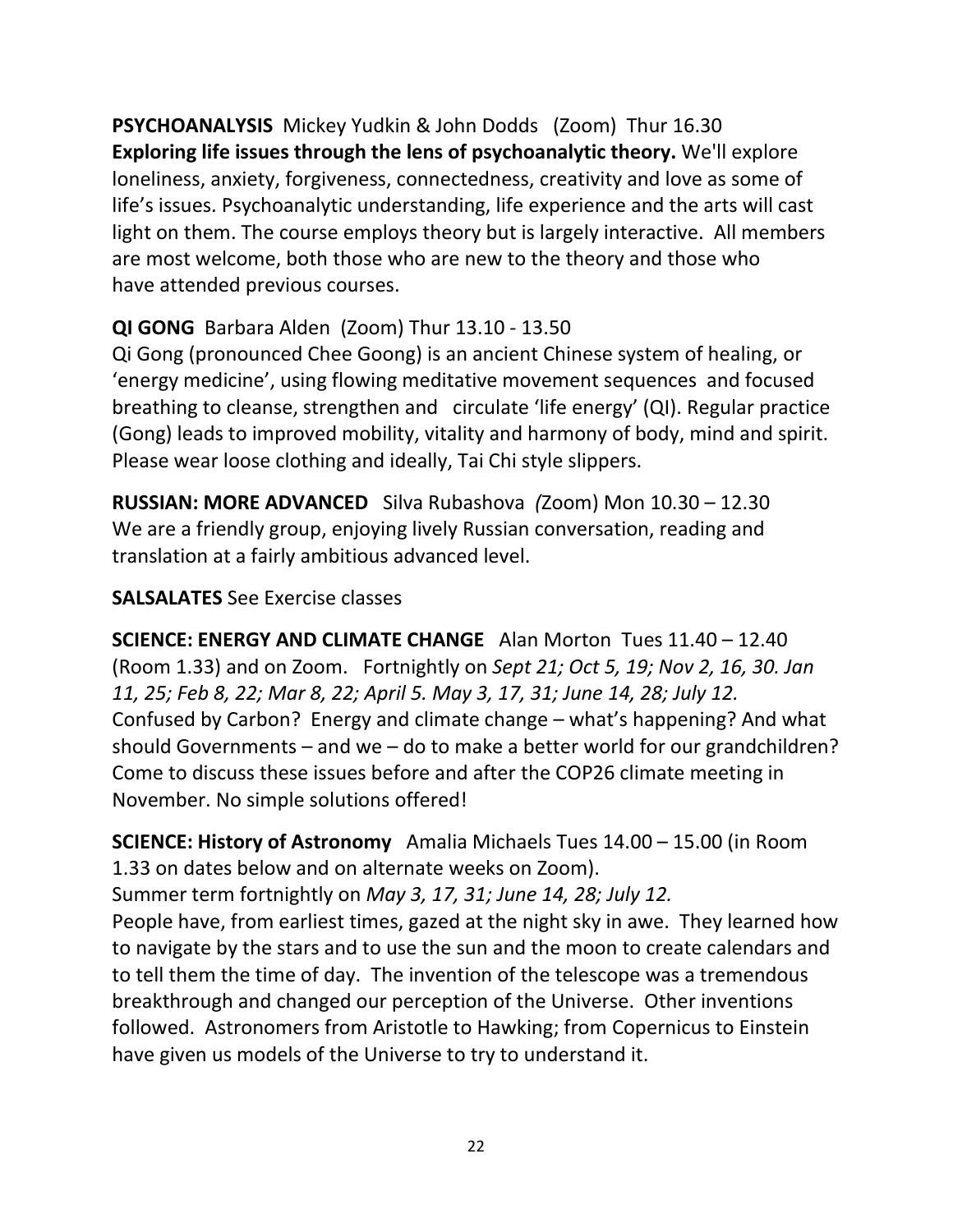**PSYCHOANALYSIS** Mickey Yudkin & John Dodds (Zoom) Thur 16.30 **Exploring life issues through the lens of psychoanalytic theory.** We'll explore loneliness, anxiety, forgiveness, connectedness, creativity and love as some of life's issues. Psychoanalytic understanding, life experience and the arts will cast light on them. The course employs theory but is largely interactive. All members are most welcome, both those who are new to the theory and those who have attended previous courses.

## **QI GONG** Barbara Alden(Zoom) Thur 13.10 - 13.50

Qi Gong (pronounced Chee Goong) is an ancient Chinese system of healing, or 'energy medicine', using flowing meditative movement sequences and focused breathing to cleanse, strengthen and circulate 'life energy' (QI). Regular practice (Gong) leads to improved mobility, vitality and harmony of body, mind and spirit. Please wear loose clothing and ideally, Tai Chi style slippers.

**RUSSIAN: MORE ADVANCED** Silva Rubashova*(*Zoom) Mon 10.30 – 12.30 We are a friendly group, enjoying lively Russian conversation, reading and translation at a fairly ambitious advanced level.

#### **SALSALATES** See Exercise classes

**SCIENCE: ENERGY AND CLIMATE CHANGE** Alan Morton Tues 11.40 – 12.40 (Room 1.33) and on Zoom. Fortnightly on *Sept 21; Oct 5, 19; Nov 2, 16, 30. Jan 11, 25; Feb 8, 22; Mar 8, 22; April 5. May 3, 17, 31; June 14, 28; July 12.*  Confused by Carbon? Energy and climate change – what's happening? And what should Governments – and we – do to make a better world for our grandchildren? Come to discuss these issues before and after the COP26 climate meeting in November. No simple solutions offered!

**SCIENCE: History of Astronomy** Amalia Michaels Tues 14.00 – 15.00 (in Room 1.33 on dates below and on alternate weeks on Zoom).

Summer term fortnightly on *May 3, 17, 31; June 14, 28; July 12.* 

People have, from earliest times, gazed at the night sky in awe. They learned how to navigate by the stars and to use the sun and the moon to create calendars and to tell them the time of day. The invention of the telescope was a tremendous breakthrough and changed our perception of the Universe. Other inventions followed. Astronomers from Aristotle to Hawking; from Copernicus to Einstein have given us models of the Universe to try to understand it.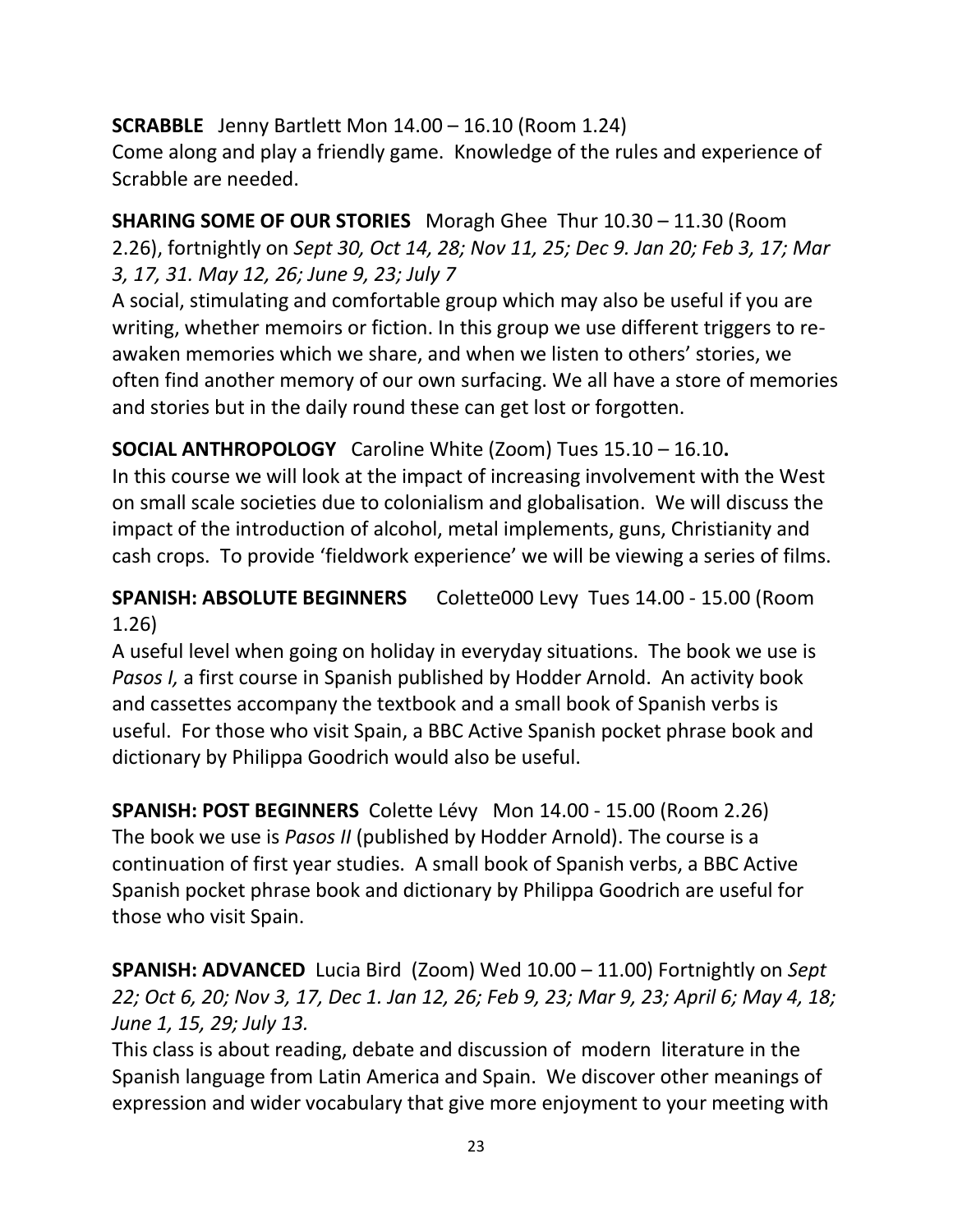**SCRABBLE** Jenny Bartlett Mon 14.00 – 16.10 (Room 1.24) Come along and play a friendly game. Knowledge of the rules and experience of Scrabble are needed.

**SHARING SOME OF OUR STORIES** Moragh Ghee Thur 10.30 – 11.30 (Room 2.26), fortnightly on *Sept 30, Oct 14, 28; Nov 11, 25; Dec 9. Jan 20; Feb 3, 17; Mar 3, 17, 31. May 12, 26; June 9, 23; July 7*

A social, stimulating and comfortable group which may also be useful if you are writing, whether memoirs or fiction. In this group we use different triggers to reawaken memories which we share, and when we listen to others' stories, we often find another memory of our own surfacing. We all have a store of memories and stories but in the daily round these can get lost or forgotten.

**SOCIAL ANTHROPOLOGY** Caroline White (Zoom) Tues 15.10 – 16.10**.** 

In this course we will look at the impact of increasing involvement with the West on small scale societies due to colonialism and globalisation. We will discuss the impact of the introduction of alcohol, metal implements, guns, Christianity and cash crops. To provide 'fieldwork experience' we will be viewing a series of films.

**SPANISH: ABSOLUTE BEGINNERS** Colette000 Levy Tues 14.00 - 15.00 (Room 1.26)

A useful level when going on holiday in everyday situations. The book we use is *Pasos I,* a first course in Spanish published by Hodder Arnold. An activity book and cassettes accompany the textbook and a small book of Spanish verbs is useful. For those who visit Spain, a BBC Active Spanish pocket phrase book and dictionary by Philippa Goodrich would also be useful.

**SPANISH: POST BEGINNERS** Colette LévyMon 14.00 - 15.00 (Room 2.26) The book we use is *Pasos II* (published by Hodder Arnold). The course is a continuation of first year studies. A small book of Spanish verbs, a BBC Active Spanish pocket phrase book and dictionary by Philippa Goodrich are useful for those who visit Spain.

**SPANISH: ADVANCED** Lucia Bird (Zoom) Wed 10.00 – 11.00) Fortnightly on *Sept 22; Oct 6, 20; Nov 3, 17, Dec 1. Jan 12, 26; Feb 9, 23; Mar 9, 23; April 6; May 4, 18; June 1, 15, 29; July 13.* 

This class is about reading, debate and discussion of modern literature in the Spanish language from Latin America and Spain. We discover other meanings of expression and wider vocabulary that give more enjoyment to your meeting with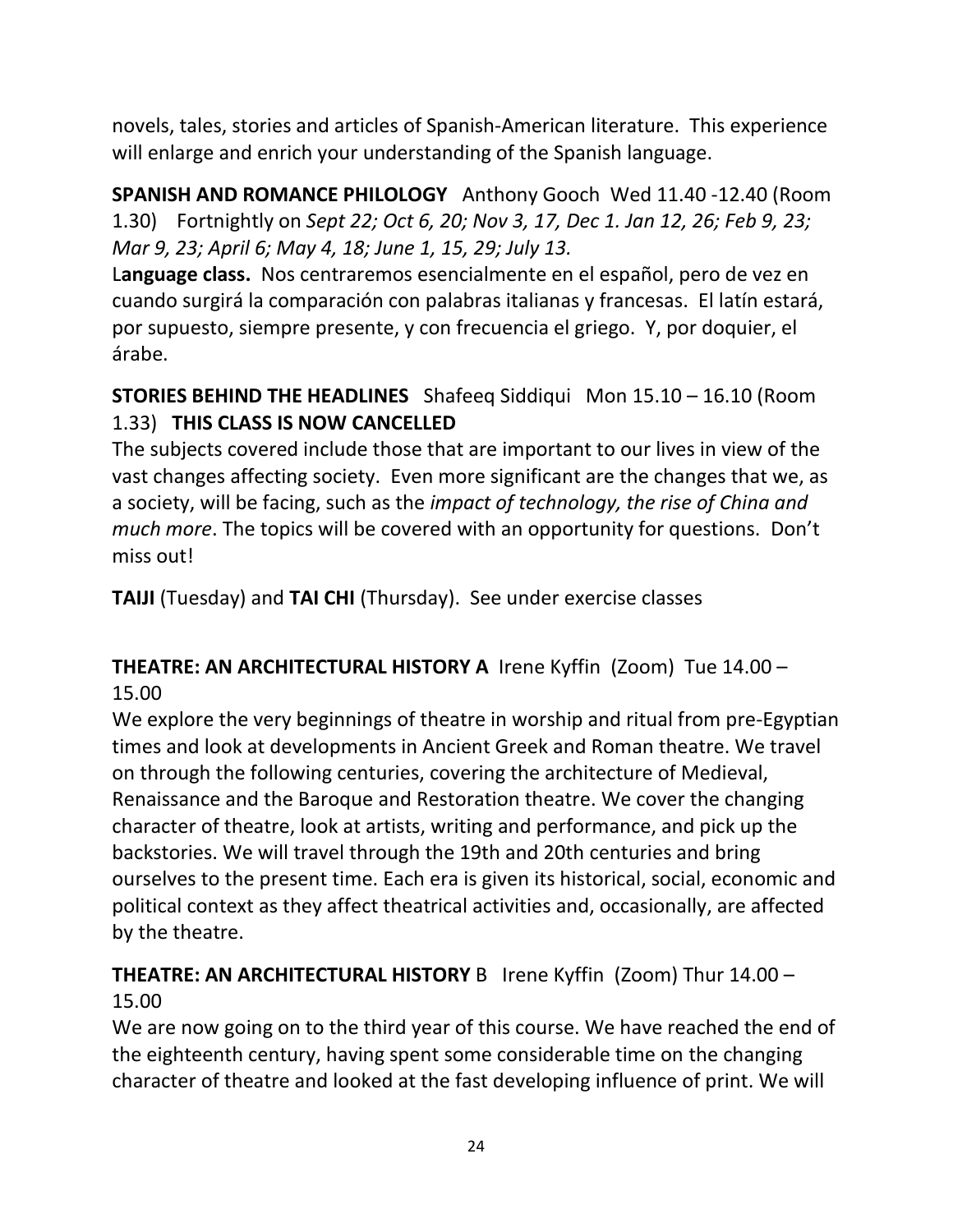novels, tales, stories and articles of Spanish-American literature. This experience will enlarge and enrich your understanding of the Spanish language.

**SPANISH AND ROMANCE PHILOLOGY** Anthony Gooch Wed 11.40 -12.40 (Room 1.30) Fortnightly on *Sept 22; Oct 6, 20; Nov 3, 17, Dec 1. Jan 12, 26; Feb 9, 23; Mar 9, 23; April 6; May 4, 18; June 1, 15, 29; July 13.* 

L**anguage class.** Nos centraremos esencialmente en el español, pero de vez en cuando surgirá la comparación con palabras italianas y francesas. El latín estará, por supuesto, siempre presente, y con frecuencia el griego. Y, por doquier, el árabe.

**STORIES BEHIND THE HEADLINES** Shafeeq Siddiqui Mon 15.10 – 16.10 (Room 1.33) **THIS CLASS IS NOW CANCELLED** 

The subjects covered include those that are important to our lives in view of the vast changes affecting society. Even more significant are the changes that we, as a society, will be facing, such as the *impact of technology, the rise of China and much more*. The topics will be covered with an opportunity for questions. Don't miss out!

**TAIJI** (Tuesday) and **TAI CHI** (Thursday). See under exercise classes

**THEATRE: AN ARCHITECTURAL HISTORY A** Irene Kyffin (Zoom) Tue 14.00 – 15.00

We explore the very beginnings of theatre in worship and ritual from pre-Egyptian times and look at developments in Ancient Greek and Roman theatre. We travel on through the following centuries, covering the architecture of Medieval, Renaissance and the Baroque and Restoration theatre. We cover the changing character of theatre, look at artists, writing and performance, and pick up the backstories. We will travel through the 19th and 20th centuries and bring ourselves to the present time. Each era is given its historical, social, economic and political context as they affect theatrical activities and, occasionally, are affected by the theatre.

## **THEATRE: AN ARCHITECTURAL HISTORY** BIrene Kyffin (Zoom) Thur 14.00 – 15.00

We are now going on to the third year of this course. We have reached the end of the eighteenth century, having spent some considerable time on the changing character of theatre and looked at the fast developing influence of print. We will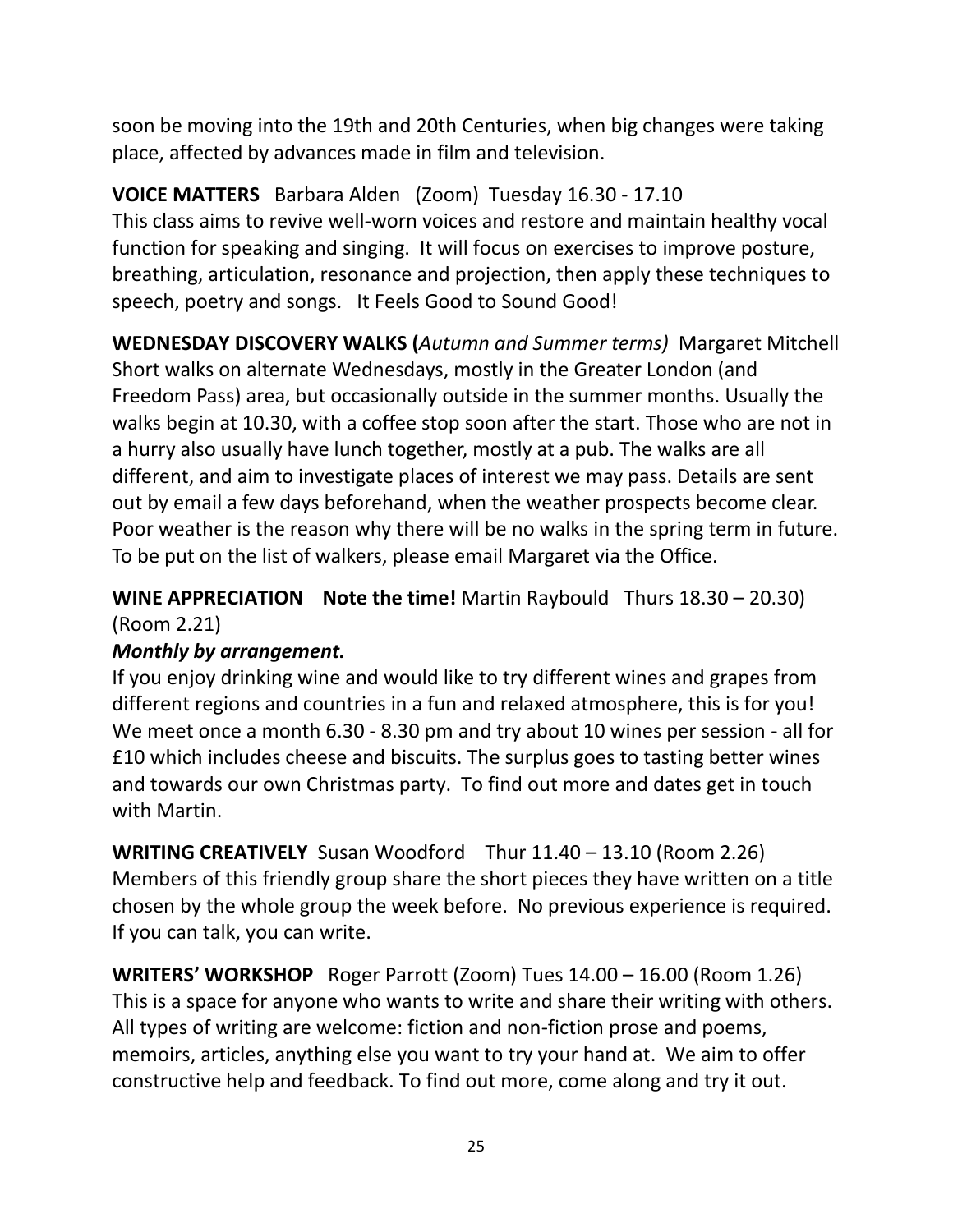soon be moving into the 19th and 20th Centuries, when big changes were taking place, affected by advances made in film and television.

**VOICE MATTERS** Barbara Alden(Zoom) Tuesday 16.30 - 17.10 This class aims to revive well-worn voices and restore and maintain healthy vocal function for speaking and singing. It will focus on exercises to improve posture, breathing, articulation, resonance and projection, then apply these techniques to speech, poetry and songs. It Feels Good to Sound Good!

**WEDNESDAY DISCOVERY WALKS (***Autumn and Summer terms)*Margaret Mitchell Short walks on alternate Wednesdays, mostly in the Greater London (and Freedom Pass) area, but occasionally outside in the summer months. Usually the walks begin at 10.30, with a coffee stop soon after the start. Those who are not in a hurry also usually have lunch together, mostly at a pub. The walks are all different, and aim to investigate places of interest we may pass. Details are sent out by email a few days beforehand, when the weather prospects become clear. Poor weather is the reason why there will be no walks in the spring term in future. To be put on the list of walkers, please email Margaret via the Office.

**WINE APPRECIATION Note the time!** Martin RaybouldThurs 18.30 – 20.30) (Room 2.21)

#### *Monthly by arrangement.*

If you enjoy drinking wine and would like to try different wines and grapes from different regions and countries in a fun and relaxed atmosphere, this is for you! We meet once a month 6.30 - 8.30 pm and try about 10 wines per session - all for £10 which includes cheese and biscuits. The surplus goes to tasting better wines and towards our own Christmas party. To find out more and dates get in touch with Martin.

**WRITING CREATIVELY** Susan WoodfordThur 11.40 – 13.10 (Room 2.26) Members of this friendly group share the short pieces they have written on a title chosen by the whole group the week before. No previous experience is required. If you can talk, you can write.

**WRITERS' WORKSHOP** Roger Parrott (Zoom) Tues 14.00 – 16.00 (Room 1.26) This is a space for anyone who wants to write and share their writing with others. All types of writing are welcome: fiction and non-fiction prose and poems, memoirs, articles, anything else you want to try your hand at. We aim to offer constructive help and feedback. To find out more, come along and try it out.